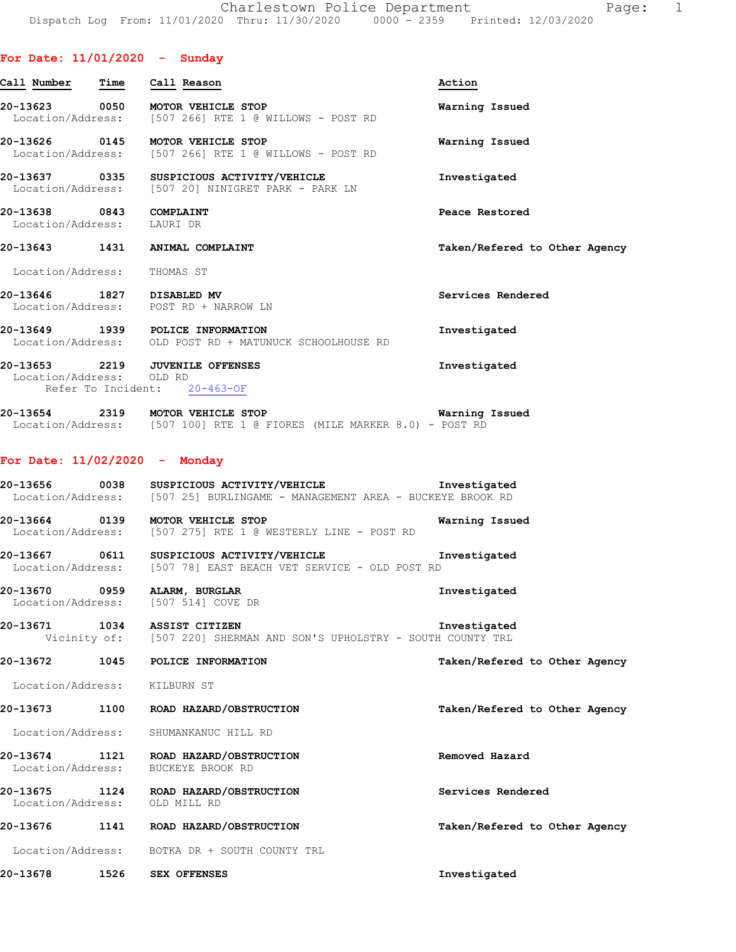### **For Date: 11/01/2020 - Sunday**

| Call Number                   | Time | Call Reason                                                      | Action                        |
|-------------------------------|------|------------------------------------------------------------------|-------------------------------|
| 20-13623<br>Location/Address: | 0050 | <b>MOTOR VEHICLE STOP</b><br>[507 266] RTE 1 @ WILLOWS - POST RD | Warning Issued                |
| 20-13626<br>Location/Address: | 0145 | <b>MOTOR VEHICLE STOP</b><br>[507 266] RTE 1 @ WILLOWS - POST RD | Warning Issued                |
| 20-13637<br>Location/Address: | 0335 | SUSPICIOUS ACTIVITY/VEHICLE<br>[507 20] NINIGRET PARK - PARK LN  | Investigated                  |
| 20-13638<br>Location/Address: | 0843 | COMPLAINT<br>LAURI DR                                            | Peace Restored                |
| 20-13643                      | 1431 | ANIMAL COMPLAINT                                                 | Taken/Refered to Other Agency |
|                               |      |                                                                  |                               |
| Location/Address:             |      | THOMAS ST                                                        |                               |
| 20-13646<br>Location/Address: | 1827 | DISABLED MV<br>POST RD + NARROW LN                               | Services Rendered             |
| 20-13649<br>Location/Address: |      | 1939 POLICE INFORMATION<br>OLD POST RD + MATUNUCK SCHOOLHOUSE RD | Investigated                  |

| 20-13654          | 2319 | MOTOR VEHICLE STOP |  |  |  |                                                        |  |  | Warning Issued |
|-------------------|------|--------------------|--|--|--|--------------------------------------------------------|--|--|----------------|
| Location/Address: |      |                    |  |  |  | $[507 100]$ RTE 1 @ FIORES (MILE MARKER 8.0) - POST RD |  |  |                |

## **For Date: 11/02/2020 - Monday**

| 20-13656          | 0038 | SUSPICIOUS ACTIVITY/VEHICLE<br>Investigated              |  |
|-------------------|------|----------------------------------------------------------|--|
| Location/Address: |      | [507 25] BURLINGAME - MANAGEMENT AREA - BUCKEYE BROOK RD |  |

**20-13664 0139 MOTOR VEHICLE STOP Warning Issued**  Location/Address: [507 275] RTE 1 @ WESTERLY LINE - POST RD

**20-13667 0611 SUSPICIOUS ACTIVITY/VEHICLE Investigated**  Location/Address: [507 78] EAST BEACH VET SERVICE - OLD POST RD

**20-13670 0959 ALARM, BURGLAR Investigated**  Location/Address: [507 514] COVE DR

**20-13671 1034 ASSIST CITIZEN Investigated**  Vicinity of: [507 220] SHERMAN AND SON'S UPHOLSTRY - SOUTH COUNTY TRL

**20-13672 1045 POLICE INFORMATION Taken/Refered to Other Agency**

Location/Address: KILBURN ST

**20-13673 1100 ROAD HAZARD/OBSTRUCTION Taken/Refered to Other Agency**

Location/Address: SHUMANKANUC HILL RD

**20-13674 1121 ROAD HAZARD/OBSTRUCTION Removed Hazard**  Location/Address: BUCKEYE BROOK RD

**20-13675 1124 ROAD HAZARD/OBSTRUCTION Services Rendered** 

 Location/Address: OLD MILL RD **20-13676 1141 ROAD HAZARD/OBSTRUCTION Taken/Refered to Other Agency**

Location/Address: BOTKA DR + SOUTH COUNTY TRL

**20-13678 1526 SEX OFFENSES Investigated**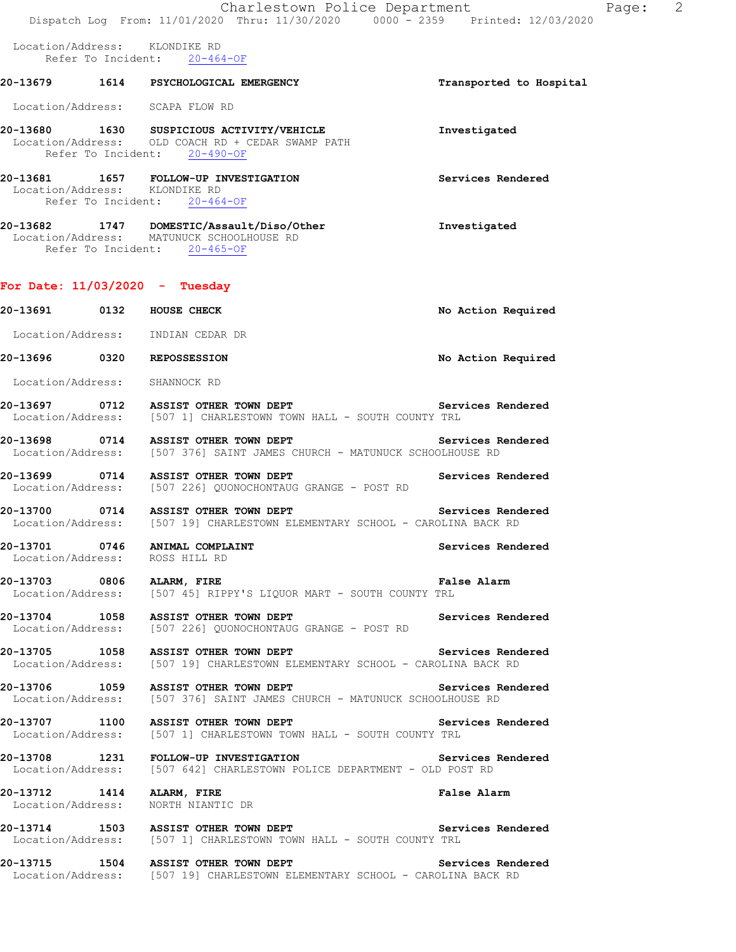|  | Charlestown Police Department                                                                                                      | Page:                   | $\overline{2}$ |
|--|------------------------------------------------------------------------------------------------------------------------------------|-------------------------|----------------|
|  | Dispatch Log From: 11/01/2020 Thru: 11/30/2020 0000 <sup>-</sup> -2359 Printed: 12/03/2020                                         |                         |                |
|  | Location/Address: KLONDIKE RD<br>Refer To Incident: 20-464-OF                                                                      |                         |                |
|  | 20-13679 1614 PSYCHOLOGICAL EMERGENCY                                                                                              | Transported to Hospital |                |
|  | Location/Address: SCAPA FLOW RD                                                                                                    |                         |                |
|  | 20-13680 1630 SUSPICIOUS ACTIVITY/VEHICLE<br>Location/Address: OLD COACH RD + CEDAR SWAMP PATH<br>Refer To Incident: 20-490-OF     | Investigated            |                |
|  | 20-13681 1657 FOLLOW-UP INVESTIGATION<br>Location/Address: KLONDIKE RD<br>Refer To Incident: 20-464-OF                             | Services Rendered       |                |
|  | 20-13682 1747 DOMESTIC/Assault/Diso/Other<br>Location/Address: MATUNUCK SCHOOLHOUSE RD<br>Refer To Incident: 20-465-OF             | Investigated            |                |
|  | For Date: $11/03/2020 -$ Tuesday                                                                                                   |                         |                |
|  | 20-13691 0132 HOUSE CHECK                                                                                                          | No Action Required      |                |
|  | Location/Address: INDIAN CEDAR DR                                                                                                  |                         |                |
|  | 20-13696 0320 REPOSSESSION                                                                                                         | No Action Required      |                |
|  | Location/Address: SHANNOCK RD                                                                                                      |                         |                |
|  | 20-13697 0712 ASSIST OTHER TOWN DEPT Services Rendered Location/Address: [507 1] CHARLESTOWN TOWN HALL - SOUTH COUNTY TRL          |                         |                |
|  | 20-13698 0714 ASSIST OTHER TOWN DEPT<br>Location/Address: [507 376] SAINT JAMES CHURCH - MATUNUCK SCHOOLHOUSE RD                   | Services Rendered       |                |
|  | 20-13699 0714 ASSIST OTHER TOWN DEPT<br>Location/Address: [507 226] QUONOCHONTAUG GRANGE - POST RD                                 | Services Rendered       |                |
|  | 20-13700 0714 ASSIST OTHER TOWN DEPT<br>Location/Address: [507 19] CHARLESTOWN ELEMENTARY SCHOOL - CAROLINA BACK RD                | Services Rendered       |                |
|  | 20-13701 0746 ANIMAL COMPLAINT<br>Location/Address: ROSS HILL RD                                                                   | Services Rendered       |                |
|  | 20-13703 0806 ALARM, FIRE<br>Location/Address: [507 45] RIPPY'S LIQUOR MART - SOUTH COUNTY TRL                                     | False Alarm             |                |
|  | 20-13704 1058 ASSIST OTHER TOWN DEPT<br>Location/Address: [507 226] QUONOCHONTAUG GRANGE - POST RD                                 | Services Rendered       |                |
|  | 20-13705 1058 ASSIST OTHER TOWN DEPT<br>Location/Address: [507 19] CHARLESTOWN ELEMENTARY SCHOOL - CAROLINA BACK RD                | Services Rendered       |                |
|  | 20-13706 1059 ASSIST OTHER TOWN DEPT Services R<br>Location/Address: [507 376] SAINT JAMES CHURCH - MATUNUCK SCHOOLHOUSE RD        | Services Rendered       |                |
|  | 20-13707 1100 ASSIST OTHER TOWN DEPT<br>Location/Address: [507 1] CHARLESTOWN TOWN HALL - SOUTH COUNTY TRL                         | Services Rendered       |                |
|  | 20-13708 1231 FOLLOW-UP INVESTIGATION Services Rendered<br>Location/Address: [507 642] CHARLESTOWN POLICE DEPARTMENT - OLD POST RD |                         |                |
|  | 20-13712 1414 ALARM, FIRE<br>Location/Address: NORTH NIANTIC DR                                                                    | False Alarm             |                |
|  | 20-13714 1503 ASSIST OTHER TOWN DEPT Services Rendered<br>Location/Address: [507 1] CHARLESTOWN TOWN HALL - SOUTH COUNTY TRL       |                         |                |
|  | 20-13715 1504 ASSIST OTHER TOWN DEPT<br>Location/Address: [507 19] CHARLESTOWN ELEMENTARY SCHOOL - CAROLINA BACK RD                | Services Rendered       |                |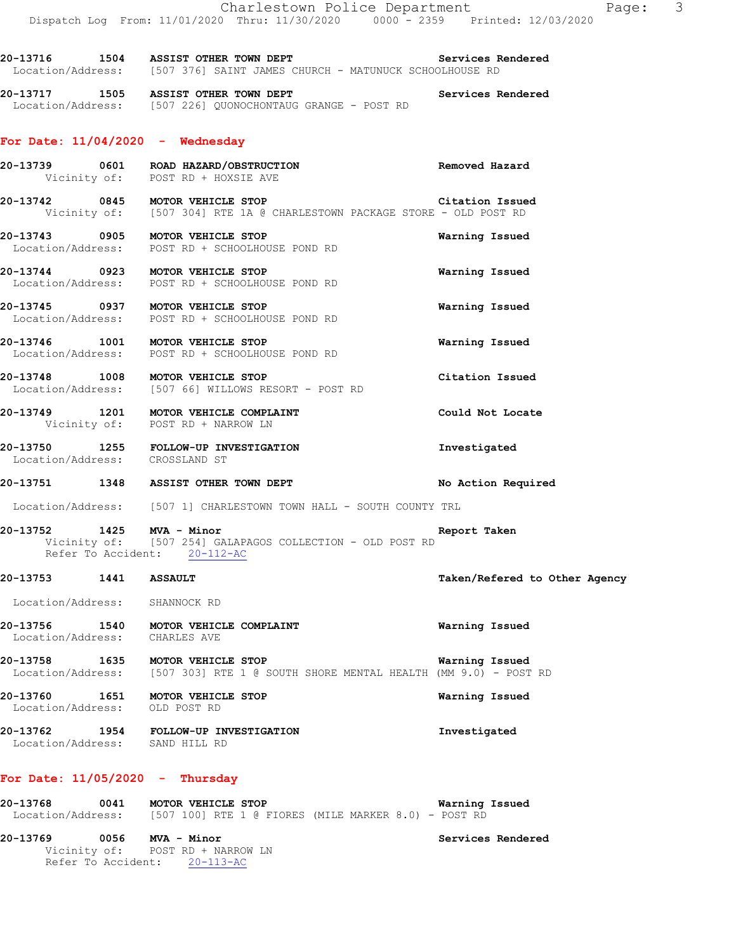**20-13717 1505 ASSIST OTHER TOWN DEPT Services Rendered**  Location/Address: [507 226] QUONOCHONTAUG GRANGE - POST RD

#### **For Date: 11/04/2020 - Wednesday**

- **20-13739 0601 ROAD HAZARD/OBSTRUCTION Removed Hazard**  Vicinity of: POST RD + HOXSIE AVE
- **20-13742 0845 MOTOR VEHICLE STOP Citation Issued**  Vicinity of: [507 304] RTE 1A @ CHARLESTOWN PACKAGE STORE - OLD POST RD
- **20-13743 0905 MOTOR VEHICLE STOP Warning Issued**  Location/Address: POST RD + SCHOOLHOUSE POND RD
- **20-13744 0923 MOTOR VEHICLE STOP Warning Issued**  Location/Address: POST RD + SCHOOLHOUSE POND RD
- **20-13745 0937 MOTOR VEHICLE STOP Warning Issued**  Location/Address: POST RD + SCHOOLHOUSE POND RD
- **20-13746 1001 MOTOR VEHICLE STOP Warning Issued**  Location/Address: POST RD + SCHOOLHOUSE POND RD
- **20-13748 1008 MOTOR VEHICLE STOP Citation Issued**  Location/Address: [507 66] WILLOWS RESORT - POST RD
- **20-13749 1201 MOTOR VEHICLE COMPLAINT Could Not Locate**  Vicinity of: POST RD + NARROW LN
- **20-13750 1255 FOLLOW-UP INVESTIGATION Investigated**  Location/Address: CROSSLAND ST
- **20-13751 1348 ASSIST OTHER TOWN DEPT No Action Required**

Location/Address: [507 1] CHARLESTOWN TOWN HALL - SOUTH COUNTY TRL

#### **20-13752 1425 MVA - Minor Report Taken**  Vicinity of: [507 254] GALAPAGOS COLLECTION - OLD POST RD Refer To Accident: 20-112-AC

**20-13753 1441 ASSAULT Taken/Refered to Other Agency**

Location/Address: SHANNOCK RD

- **20-13756 1540 MOTOR VEHICLE COMPLAINT Warning Issued**  Location/Address: CHARLES AVE
- **20-13758 1635 MOTOR VEHICLE STOP Warning Issued**  Location/Address: [507 303] RTE 1 @ SOUTH SHORE MENTAL HEALTH (MM 9.0) - POST RD
- **20-13760 1651 MOTOR VEHICLE STOP Warning Issued**  Location/Address: OLD POST RD
- **20-13762 1954 FOLLOW-UP INVESTIGATION Investigated**  Location/Address: SAND HILL RD

## **For Date: 11/05/2020 - Thursday**

| 20-13768          | 0041 | MOTOR VEHICLE STOP |  |  |  |  |                                                        | Warning Issued |
|-------------------|------|--------------------|--|--|--|--|--------------------------------------------------------|----------------|
| Location/Address: |      |                    |  |  |  |  | $[507 100]$ RTE 1 @ FIORES (MILE MARKER 8.0) - POST RD |                |

#### **20-13769 0056 MVA - Minor Services Rendered**  Vicinity of: POST RD + NARROW LN Refer To Accident: 20-113-AC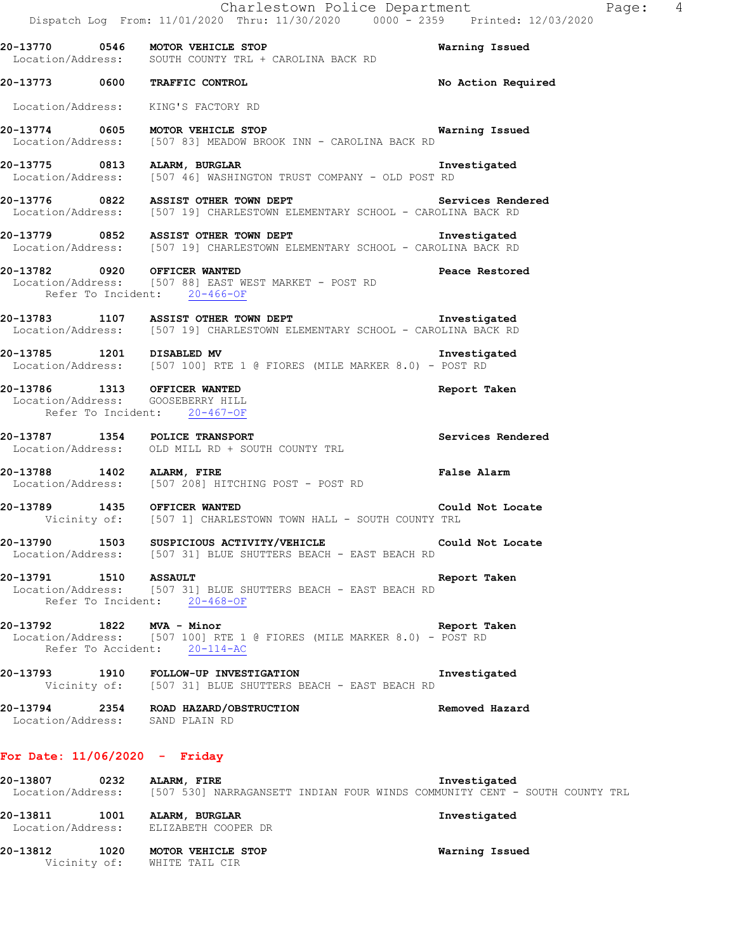|                                 | Charlestown Police Department<br>Dispatch Log From: 11/01/2020 Thru: 11/30/2020 0000 <sup>-</sup> 2359 Printed: 12/03/2020                 |                    | Page: | 4 |
|---------------------------------|--------------------------------------------------------------------------------------------------------------------------------------------|--------------------|-------|---|
|                                 | 20-13770 0546 MOTOR VEHICLE STOP<br>Location/Address: SOUTH COUNTY TRL + CAROLINA BACK RD                                                  | Warning Issued     |       |   |
|                                 | 20-13773 0600 TRAFFIC CONTROL                                                                                                              | No Action Required |       |   |
|                                 | Location/Address: KING'S FACTORY RD                                                                                                        |                    |       |   |
|                                 | 20-13774 0605 MOTOR VEHICLE STOP 120 120 Warning Issued<br>Location/Address: [507 83] MEADOW BROOK INN - CAROLINA BACK RD                  |                    |       |   |
|                                 | 20-13775 0813 ALARM, BURGLAR<br><b>Example 21 Investigated</b><br>Location/Address: [507 46] WASHINGTON TRUST COMPANY - OLD POST RD        |                    |       |   |
|                                 | 20-13776 0822 ASSIST OTHER TOWN DEPT<br>Location/Address: [507 19] CHARLESTOWN ELEMENTARY SCHOOL - CAROLINA BACK RD                        | Services Rendered  |       |   |
|                                 | 20-13779 0852 ASSIST OTHER TOWN DEPT <b>1</b> nvestigated<br>Location/Address: [507 19] CHARLESTOWN ELEMENTARY SCHOOL - CAROLINA BACK RD   |                    |       |   |
|                                 | 20-13782 0920 OFFICER WANTED<br>Location/Address: [507 88] EAST WEST MARKET - POST RD<br>Refer To Incident: 20-466-OF                      | Peace Restored     |       |   |
|                                 | 20-13783 1107 ASSIST OTHER TOWN DEPT Location/Address: [507 19] CHARLESTOWN ELEMENTARY SCHOOL - CAROLINA BACK RD                           |                    |       |   |
| 20-13785 1201 DISABLED MV       | Location/Address: [507 100] RTE 1 @ FIORES (MILE MARKER 8.0) - POST RD                                                                     | Investigated       |       |   |
|                                 | 20-13786 1313 OFFICER WANTED<br>Location/Address: GOOSEBERRY HILL<br>Refer To Incident: 20-467-OF                                          | Report Taken       |       |   |
|                                 | 20-13787 1354 POLICE TRANSPORT<br>Location/Address: OLD MILL RD + SOUTH COUNTY TRL                                                         | Services Rendered  |       |   |
| 20-13788 1402 ALARM, FIRE       | Location/Address: [507 208] HITCHING POST - POST RD                                                                                        | <b>False Alarm</b> |       |   |
|                                 | 20-13789 1435 OFFICER WANTED<br>Vicinity of: [507 1] CHARLESTOWN TOWN HALL - SOUTH COUNTY TRL                                              | Could Not Locate   |       |   |
|                                 | 20-13790 1503 SUSPICIOUS ACTIVITY/VEHICLE Could Not Locate Could Not Locate Location/Address: [507 31] BLUE SHUTTERS BEACH - EAST BEACH RD |                    |       |   |
| 20-13791 1510 ASSAULT           | Location/Address: [507 31] BLUE SHUTTERS BEACH - EAST BEACH RD<br>Refer To Incident: 20-468-OF                                             | Report Taken       |       |   |
|                                 | 20-13792 1822 MVA - Minor<br>Location/Address: [507 100] RTE 1 @ FIORES (MILE MARKER 8.0) - POST RD<br>Refer To Accident: 20-114-AC        | Report Taken       |       |   |
|                                 | 20-13793 1910 FOLLOW-UP INVESTIGATION<br>Vicinity of: [507 31] BLUE SHUTTERS BEACH - EAST BEACH RD                                         | Investigated       |       |   |
|                                 | 20-13794 2354 ROAD HAZARD/OBSTRUCTION<br>Location/Address: SAND PLAIN RD                                                                   | Removed Hazard     |       |   |
| For Date: $11/06/2020 -$ Friday |                                                                                                                                            |                    |       |   |
|                                 |                                                                                                                                            |                    |       |   |

**20-13807 0232 ALARM, FIRE Investigated**  Location/Address: [507 530] NARRAGANSETT INDIAN FOUR WINDS COMMUNITY CENT - SOUTH COUNTY TRL **20-13811 1001 ALARM, BURGLAR Investigated**  Location/Address: ELIZABETH COOPER DR **20-13812 1020 MOTOR VEHICLE STOP Warning Issued**  Vicinity of: WHITE TAIL CIR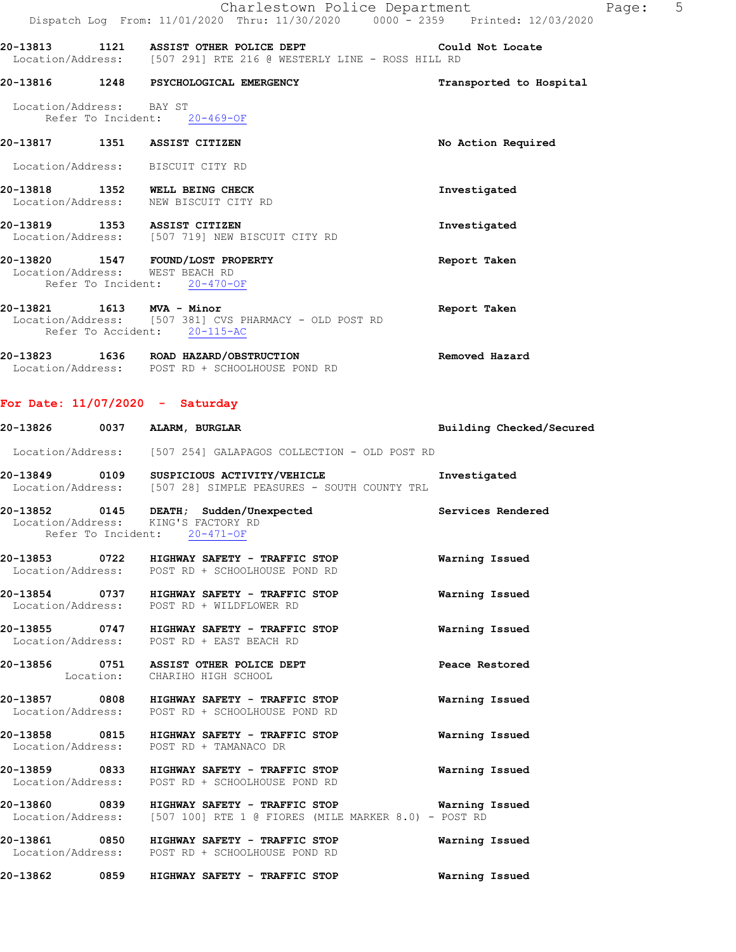|                          | Charlestown Police Department<br>Dispatch Log From: 11/01/2020 Thru: 11/30/2020 0000 - 2359 Printed: 12/03/2020               | Page: 5                  |  |
|--------------------------|-------------------------------------------------------------------------------------------------------------------------------|--------------------------|--|
|                          | 20-13813 1121 ASSIST OTHER POLICE DEPT Could Not Locate<br>Location/Address: [507 291] RTE 216 @ WESTERLY LINE - ROSS HILL RD |                          |  |
|                          | 20-13816 1248 PSYCHOLOGICAL EMERGENCY                                                                                         | Transported to Hospital  |  |
| Location/Address: BAY ST | Refer To Incident: 20-469-OF                                                                                                  |                          |  |
|                          | 20-13817 1351 ASSIST CITIZEN                                                                                                  | No Action Required       |  |
|                          | Location/Address: BISCUIT CITY RD                                                                                             |                          |  |
|                          | 20-13818 1352 WELL BEING CHECK<br>Location/Address: NEW BISCUIT CITY RD                                                       | Investigated             |  |
|                          | 20-13819 1353 ASSIST CITIZEN<br>Location/Address: [507 719] NEW BISCUIT CITY RD                                               | Investigated             |  |
|                          | 20-13820 1547 FOUND/LOST PROPERTY<br>Location/Address: WEST BEACH RD<br>Refer To Incident: 20-470-OF                          | Report Taken             |  |
|                          | 20-13821 1613 MVA - Minor<br>Location/Address: [507 381] CVS PHARMACY - OLD POST RD<br>Refer To Accident: 20-115-AC           | Report Taken             |  |
|                          | 20-13823 1636 ROAD HAZARD/OBSTRUCTION<br>Location/Address: POST RD + SCHOOLHOUSE POND RD                                      | Removed Hazard           |  |
|                          | For Date: $11/07/2020 -$ Saturday                                                                                             |                          |  |
|                          | 20-13826 0037 ALARM, BURGLAR                                                                                                  | Building Checked/Secured |  |
|                          | Location/Address: [507 254] GALAPAGOS COLLECTION - OLD POST RD                                                                |                          |  |
|                          | 20-13849 0109 SUSPICIOUS ACTIVITY/VEHICLE<br>Location/Address: [507 28] SIMPLE PEASURES - SOUTH COUNTY TRL                    | Investigated             |  |
|                          | 20-13852 0145 DEATH; Sudden/Unexpected<br>Location/Address: KING'S FACTORY RD<br>Refer To Incident: 20-471-OF                 | Services Rendered        |  |
|                          | 20-13853 0722 HIGHWAY SAFETY - TRAFFIC STOP<br>Location/Address: POST RD + SCHOOLHOUSE POND RD                                | Warning Issued           |  |
|                          | 20-13854 0737 HIGHWAY SAFETY - TRAFFIC STOP<br>Location/Address: POST RD + WILDFLOWER RD                                      | Warning Issued           |  |
|                          | 20-13855 0747 HIGHWAY SAFETY - TRAFFIC STOP<br>Location/Address: POST RD + EAST BEACH RD                                      | Warning Issued           |  |
|                          | 20-13856 0751 ASSIST OTHER POLICE DEPT<br>Location: CHARIHO HIGH SCHOOL                                                       | Peace Restored           |  |
|                          | 20-13857 0808 HIGHWAY SAFETY - TRAFFIC STOP<br>Location/Address: POST RD + SCHOOLHOUSE POND RD                                | Warning Issued           |  |
|                          | 20-13858 0815 HIGHWAY SAFETY - TRAFFIC STOP<br>Location/Address: POST RD + TAMANACO DR                                        | Warning Issued           |  |
|                          | 20-13859 0833 HIGHWAY SAFETY - TRAFFIC STOP<br>Location/Address: POST RD + SCHOOLHOUSE POND RD                                | Warning Issued           |  |
|                          | 20-13860 0839 HIGHWAY SAFETY - TRAFFIC STOP                                                                                   | Warning Issued           |  |

**20-13861 0850 HIGHWAY SAFETY - TRAFFIC STOP Warning Issued** 

Location/Address: [507 100] RTE 1 @ FIORES (MILE MARKER 8.0) - POST RD

Location/Address: POST RD + SCHOOLHOUSE POND RD

**20-13862 0859 HIGHWAY SAFETY - TRAFFIC STOP Warning Issued**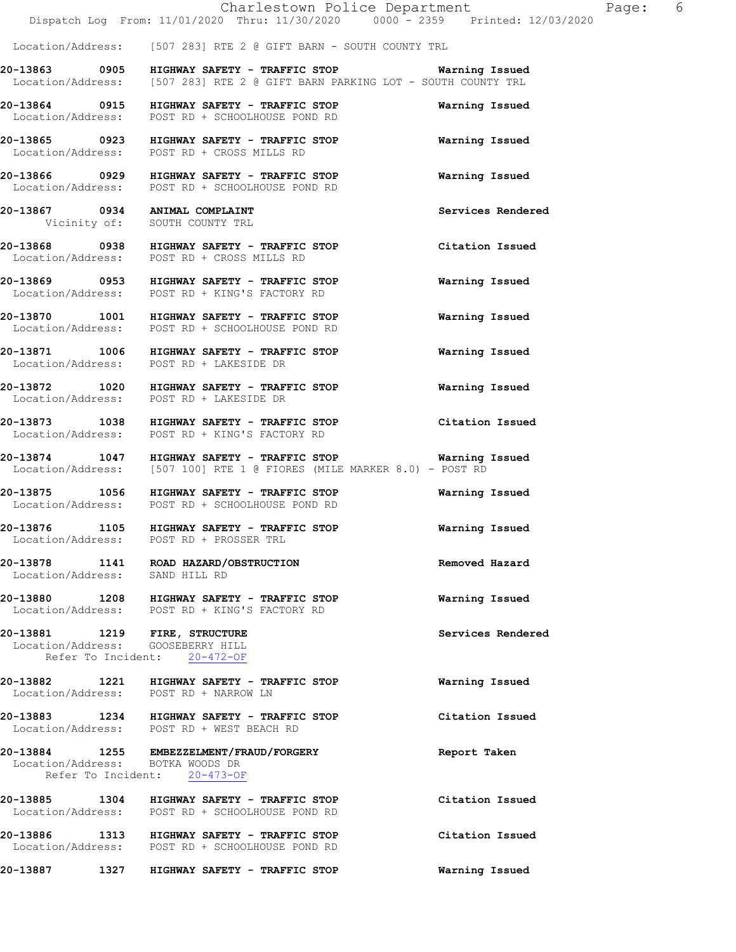Location/Address: [507 283] RTE 2 @ GIFT BARN - SOUTH COUNTY TRL

**20-13863 0905 HIGHWAY SAFETY - TRAFFIC STOP Warning Issued**  Location/Address: [507 283] RTE 2 @ GIFT BARN PARKING LOT - SOUTH COUNTY TRL

**20-13864 0915 HIGHWAY SAFETY - TRAFFIC STOP Warning Issued**  Location/Address: POST RD + SCHOOLHOUSE POND RD

**20-13865 0923 HIGHWAY SAFETY - TRAFFIC STOP Warning Issued**  Location/Address: POST RD + CROSS MILLS RD

**20-13866 0929 HIGHWAY SAFETY - TRAFFIC STOP Warning Issued**  Location/Address: POST RD + SCHOOLHOUSE POND RD

**20-13867 0934 ANIMAL COMPLAINT Services Rendered**  Vicinity of: SOUTH COUNTY TRL

**20-13868 0938 HIGHWAY SAFETY - TRAFFIC STOP Citation Issued**  Location/Address: POST RD + CROSS MILLS RD

**20-13869 0953 HIGHWAY SAFETY - TRAFFIC STOP Warning Issued**  Location/Address: POST RD + KING'S FACTORY RD

**20-13870 1001 HIGHWAY SAFETY - TRAFFIC STOP Warning Issued**  Location/Address: POST RD + SCHOOLHOUSE POND RD

**20-13871 1006 HIGHWAY SAFETY - TRAFFIC STOP Warning Issued**  Location/Address: POST RD + LAKESIDE DR

**20-13872 1020 HIGHWAY SAFETY - TRAFFIC STOP Warning Issued**  Location/Address: POST RD + LAKESIDE DR

**20-13873 1038 HIGHWAY SAFETY - TRAFFIC STOP Citation Issued**  Location/Address: POST RD + KING'S FACTORY RD

**20-13874 1047 HIGHWAY SAFETY - TRAFFIC STOP Warning Issued**  Location/Address: [507 100] RTE 1 @ FIORES (MILE MARKER 8.0) - POST RD

**20-13875 1056 HIGHWAY SAFETY - TRAFFIC STOP Warning Issued**  Location/Address: POST RD + SCHOOLHOUSE POND RD

**20-13876 1105 HIGHWAY SAFETY - TRAFFIC STOP Warning Issued**  Location/Address: POST RD + PROSSER TRL

**20-13878 1141 ROAD HAZARD/OBSTRUCTION Removed Hazard**  Location/Address: SAND HILL RD

**20-13880 1208 HIGHWAY SAFETY - TRAFFIC STOP Warning Issued**  Location/Address: POST RD + KING'S FACTORY RD

**20-13881 1219 FIRE, STRUCTURE Services Rendered**  Location/Address: GOOSEBERRY HILL Refer To Incident: 20-472-OF

**20-13882 1221 HIGHWAY SAFETY - TRAFFIC STOP Warning Issued**  Location/Address: POST RD + NARROW LN

**20-13883 1234 HIGHWAY SAFETY - TRAFFIC STOP Citation Issued**  Location/Address: POST RD + WEST BEACH RD

**20-13884 1255 EMBEZZELMENT/FRAUD/FORGERY Report Taken**  Location/Address: BOTKA WOODS DR Refer To Incident: 20-473-OF

**20-13885 1304 HIGHWAY SAFETY - TRAFFIC STOP Citation Issued**  POST RD + SCHOOLHOUSE POND RD **20-13886 1313 HIGHWAY SAFETY - TRAFFIC STOP Citation Issued**  Location/Address: POST RD + SCHOOLHOUSE POND RD **20-13887 1327 HIGHWAY SAFETY - TRAFFIC STOP Warning Issued**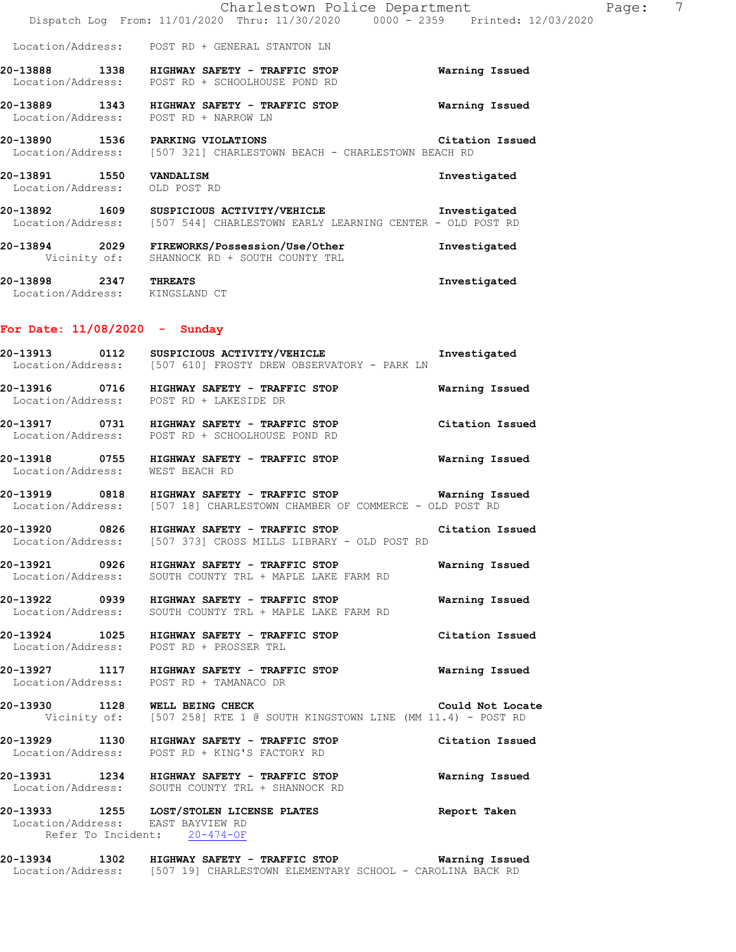|                                                          | Charlestown Police Department<br>Dispatch Log From: 11/01/2020 Thru: 11/30/2020 0000 - 2359 Printed: 12/03/2020                           |                  | 7<br>Page: |
|----------------------------------------------------------|-------------------------------------------------------------------------------------------------------------------------------------------|------------------|------------|
|                                                          | Location/Address: POST RD + GENERAL STANTON LN                                                                                            |                  |            |
|                                                          | 20-13888 1338 HIGHWAY SAFETY - TRAFFIC STOP<br>Location/Address: POST RD + SCHOOLHOUSE POND RD                                            | Warning Issued   |            |
|                                                          | 20-13889 1343 HIGHWAY SAFETY - TRAFFIC STOP<br>Location/Address: POST RD + NARROW LN                                                      | Warning Issued   |            |
|                                                          | 20-13890 1536 PARKING VIOLATIONS<br>Location/Address: [507 321] CHARLESTOWN BEACH - CHARLESTOWN BEACH RD                                  | Citation Issued  |            |
| 20-13891 1550 VANDALISM<br>Location/Address: OLD POST RD |                                                                                                                                           | Investigated     |            |
|                                                          | 20-13892 1609 SUSPICIOUS ACTIVITY/VEHICLE Threstigated<br>Location/Address: [507 544] CHARLESTOWN EARLY LEARNING CENTER - OLD POST RD     |                  |            |
|                                                          | 20-13894 2029 FIREWORKS/Possession/Use/Other<br>Vicinity of: SHANNOCK RD + SOUTH COUNTY TRL                                               | Investigated     |            |
| 20-13898 2347 THREATS<br>Location/Address: KINGSLAND CT  |                                                                                                                                           | Investigated     |            |
| For Date: $11/08/2020 -$ Sunday                          |                                                                                                                                           |                  |            |
|                                                          | 20-13913 0112 SUSPICIOUS ACTIVITY/VEHICLE<br>Location/Address: [507 610] FROSTY DREW OBSERVATORY - PARK LN                                | Investigated     |            |
|                                                          | 20-13916 0716 HIGHWAY SAFETY - TRAFFIC STOP<br>Location/Address: POST RD + LAKESIDE DR                                                    | Warning Issued   |            |
|                                                          | 20-13917 0731 HIGHWAY SAFETY - TRAFFIC STOP<br>Location/Address: POST RD + SCHOOLHOUSE POND RD                                            | Citation Issued  |            |
| Location/Address: WEST BEACH RD                          | 20-13918 0755 HIGHWAY SAFETY - TRAFFIC STOP                                                                                               | Warning Issued   |            |
|                                                          | 20-13919 0818 HIGHWAY SAFETY - TRAFFIC STOP<br>Location/Address: [507 18] CHARLESTOWN CHAMBER OF COMMERCE - OLD POST RD                   | Warning Issued   |            |
|                                                          | 20-13920 0826 HIGHWAY SAFETY - TRAFFIC STOP<br>Location/Address: [507 373] CROSS MILLS LIBRARY - OLD POST RD                              | Citation Issued  |            |
|                                                          | 20-13921 0926 HIGHWAY SAFETY - TRAFFIC STOP 60 Warning Issued<br>Location/Address: SOUTH COUNTY TRL + MAPLE LAKE FARM RD                  |                  |            |
|                                                          | 20-13922 0939 HIGHWAY SAFETY - TRAFFIC STOP<br>Location/Address: SOUTH COUNTY TRL + MAPLE LAKE FARM RD                                    | Warning Issued   |            |
|                                                          | 20-13924 1025 HIGHWAY SAFETY - TRAFFIC STOP Citation Issued<br>Location/Address: POST RD + PROSSER TRL                                    |                  |            |
|                                                          | 20-13927 1117 HIGHWAY SAFETY - TRAFFIC STOP 60 Warning Issued<br>Location/Address: POST RD + TAMANACO DR                                  |                  |            |
|                                                          | 20-13930 1128 WELL BEING CHECK COULD NOT LOCAL COULD NOT LOCAL Vicinity of: [507 258] RTE 1 @ SOUTH KINGSTOWN LINE (MM 11.4) - POST RD    | Could Not Locate |            |
|                                                          | 20-13929 1130 HIGHWAY SAFETY - TRAFFIC STOP<br>Location/Address: POST RD + KING'S FACTORY RD                                              | Citation Issued  |            |
|                                                          | 20-13931 1234 HIGHWAY SAFETY - TRAFFIC STOP<br>Location/Address: SOUTH COUNTY TRL + SHANNOCK RD                                           | Warning Issued   |            |
|                                                          | 20-13933 1255 LOST/STOLEN LICENSE PLATES<br>Location/Address: EAST BAYVIEW RD<br>Refer To Incident: 20-474-OF                             | Report Taken     |            |
|                                                          | 20-13934 1302 HIGHWAY SAFETY - TRAFFIC STOP Warning Issued<br>Location/Address: [507 19] CHARLESTOWN ELEMENTARY SCHOOL - CAROLINA BACK RD |                  |            |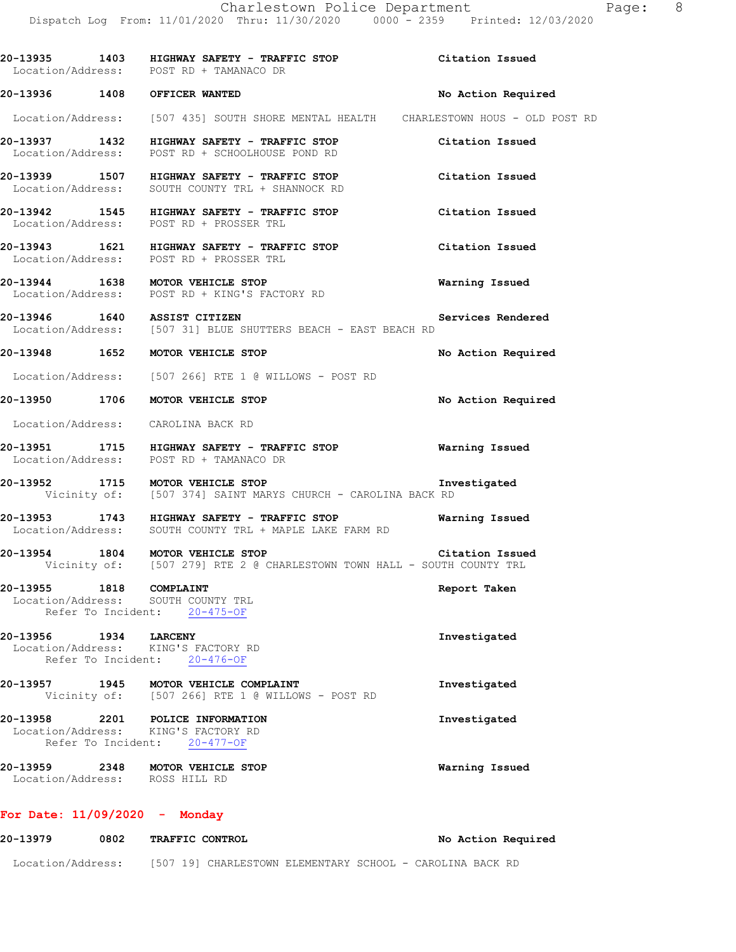|                       | 20-13935 1403 HIGHWAY SAFETY - TRAFFIC STOP Citation Issued<br>Location/Address: POST RD + TAMANACO DR                     |                    |
|-----------------------|----------------------------------------------------------------------------------------------------------------------------|--------------------|
|                       | 20-13936 1408 OFFICER WANTED                                                                                               | No Action Required |
|                       | Location/Address: [507 435] SOUTH SHORE MENTAL HEALTH CHARLESTOWN HOUS - OLD POST RD                                       |                    |
|                       | 20-13937 1432 HIGHWAY SAFETY - TRAFFIC STOP<br>Location/Address: POST RD + SCHOOLHOUSE POND RD                             | Citation Issued    |
|                       | 20-13939 1507 HIGHWAY SAFETY - TRAFFIC STOP<br>Location/Address: SOUTH COUNTY TRL + SHANNOCK RD                            | Citation Issued    |
|                       | 20-13942 1545 HIGHWAY SAFETY - TRAFFIC STOP<br>Location/Address: POST RD + PROSSER TRL                                     | Citation Issued    |
|                       | 20-13943 1621 HIGHWAY SAFETY - TRAFFIC STOP Citation Issued<br>Location/Address: POST RD + PROSSER TRL                     |                    |
|                       | 20-13944 1638 MOTOR VEHICLE STOP<br>Location/Address: POST RD + KING'S FACTORY RD                                          | Warning Issued     |
|                       | 20-13946  1640  ASSIST CITIZEN<br>Location/Address: [507 31] BLUE SHUTTERS BEACH - EAST BEACH RD                           | Services Rendered  |
|                       | 20-13948 1652 MOTOR VEHICLE STOP                                                                                           | No Action Required |
|                       | Location/Address: [507 266] RTE 1 @ WILLOWS - POST RD                                                                      |                    |
|                       | 20-13950 1706 MOTOR VEHICLE STOP                                                                                           | No Action Required |
|                       | Location/Address: CAROLINA BACK RD                                                                                         |                    |
|                       | 20-13951 1715 HIGHWAY SAFETY - TRAFFIC STOP 60 Warning Issued<br>Location/Address: POST RD + TAMANACO DR                   |                    |
|                       | 20-13952 1715 MOTOR VEHICLE STOP<br>Vicinity of: [507 374] SAINT MARYS CHURCH - CAROLINA BACK RD                           | Investigated       |
|                       | 20-13953 1743 HIGHWAY SAFETY - TRAFFIC STOP<br>Location/Address: SOUTH COUNTY TRL + MAPLE LAKE FARM RD                     | Warning Issued     |
|                       | 20-13954 1804 MOTOR VEHICLE STOP Citation Issue<br>Vicinity of: [507 279] RTE 2 @ CHARLESTOWN TOWN HALL - SOUTH COUNTY TRL | Citation Issued    |
|                       | 20-13955 1818 COMPLAINT<br>Location/Address: SOUTH COUNTY TRL<br>Refer To Incident: 20-475-OF                              | Report Taken       |
| 20-13956 1934 LARCENY | Location/Address: KING'S FACTORY RD<br>Refer To Incident: 20-476-OF                                                        | Investigated       |
|                       | 20-13957 1945 MOTOR VEHICLE COMPLAINT<br>Vicinity of: [507 266] RTE 1 @ WILLOWS - POST RD                                  | Investigated       |
|                       | 20-13958 2201 POLICE INFORMATION<br>Location/Address: KING'S FACTORY RD<br>Refer To Incident: 20-477-OF                    | Investigated       |
|                       | 20-13959 2348 MOTOR VEHICLE STOP<br>Location/Address: ROSS HILL RD                                                         | Warning Issued     |
|                       |                                                                                                                            |                    |

## **For Date: 11/09/2020 - Monday**

| 20-13979          | 0802 | <b>TRAFFIC CONTROL</b> |                                                           |  |  | No Action Required |
|-------------------|------|------------------------|-----------------------------------------------------------|--|--|--------------------|
| Location/Address: |      |                        | [507 19] CHARLESTOWN ELEMENTARY SCHOOL - CAROLINA BACK RD |  |  |                    |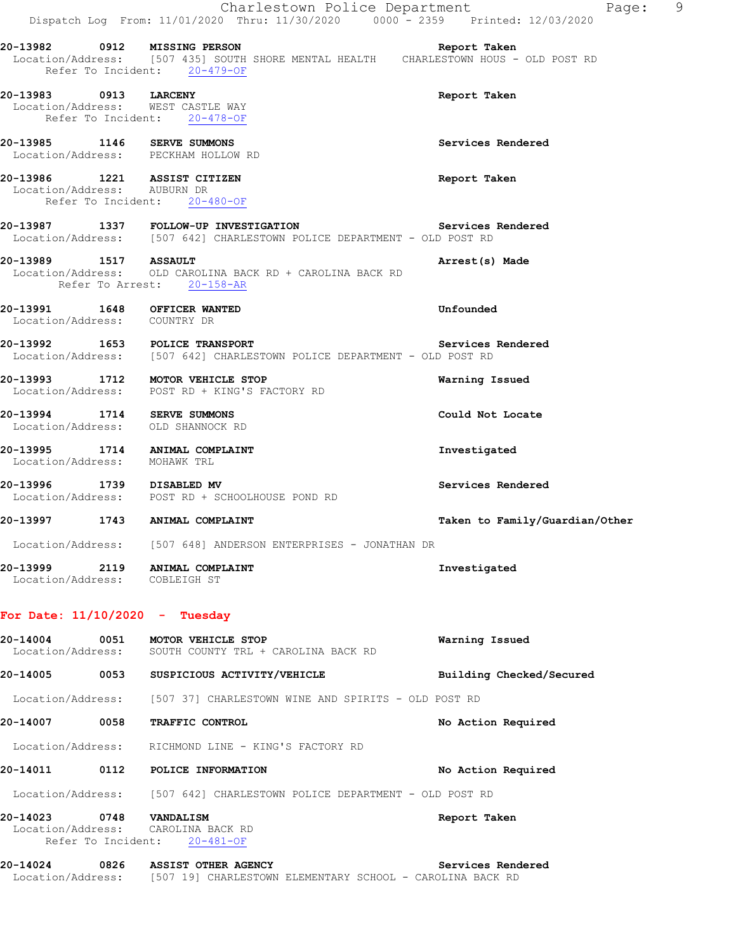|                              | Dispatch Log From: 11/01/2020 Thru: 11/30/2020 0000 - 2359 Printed: 12/03/2020                                            | Charlestown Police Department<br>9<br>Page:                                                           |
|------------------------------|---------------------------------------------------------------------------------------------------------------------------|-------------------------------------------------------------------------------------------------------|
|                              | 20-13982 0912 MISSING PERSON<br>Refer To Incident: 20-479-OF                                                              | Report Taken<br>Location/Address: [507 435] SOUTH SHORE MENTAL HEALTH  CHARLESTOWN HOUS - OLD POST RD |
| 20-13983 0913 LARCENY        | Location/Address: WEST CASTLE WAY<br>Refer To Incident: 20-478-OF                                                         | Report Taken                                                                                          |
|                              | 20-13985 1146 SERVE SUMMONS<br>Location/Address: PECKHAM HOLLOW RD                                                        | Services Rendered                                                                                     |
| Location/Address: AUBURN DR  | 20-13986 1221 ASSIST CITIZEN<br>Refer To Incident: 20-480-OF                                                              | Report Taken                                                                                          |
|                              | 20-13987 1337 FOLLOW-UP INVESTIGATION Services<br>Location/Address: [507 642] CHARLESTOWN POLICE DEPARTMENT - OLD POST RD | Services Rendered                                                                                     |
|                              | 20-13989 1517 ASSAULT<br>Location/Address: OLD CAROLINA BACK RD + CAROLINA BACK RD<br>Refer To Arrest: 20-158-AR          | Arrest(s) Made                                                                                        |
| Location/Address: COUNTRY DR | 20-13991 1648 OFFICER WANTED                                                                                              | Unfounded                                                                                             |
|                              | 20-13992 1653 POLICE TRANSPORT<br>Location/Address: [507 642] CHARLESTOWN POLICE DEPARTMENT - OLD POST RD                 | Services Rendered                                                                                     |
|                              | 20-13993 1712 MOTOR VEHICLE STOP<br>Location/Address: POST RD + KING'S FACTORY RD                                         | Warning Issued                                                                                        |
|                              | 20-13994 1714 SERVE SUMMONS<br>Location/Address: OLD SHANNOCK RD                                                          | Could Not Locate                                                                                      |
|                              | 20-13995 1714 ANIMAL COMPLAINT<br>Location/Address: MOHAWK TRL                                                            | Investigated                                                                                          |
|                              | 20-13996 1739 DISABLED MV<br>Location/Address: POST RD + SCHOOLHOUSE POND RD                                              | Services Rendered                                                                                     |
|                              | 20-13997 1743 ANIMAL COMPLAINT                                                                                            | Taken to Family/Guardian/Other                                                                        |
|                              | Location/Address: [507 648] ANDERSON ENTERPRISES - JONATHAN DR                                                            |                                                                                                       |
|                              | 20-13999 2119 ANIMAL COMPLAINT<br>Location/Address: COBLEIGH ST                                                           | Investigated                                                                                          |
|                              | For Date: $11/10/2020 - Tuesday$                                                                                          |                                                                                                       |
| 20-14004 0051                | MOTOR VEHICLE STOP<br>Location/Address: SOUTH COUNTY TRL + CAROLINA BACK RD                                               | Warning Issued                                                                                        |
|                              | 20-14005 0053 SUSPICIOUS ACTIVITY/VEHICLE                                                                                 | Building Checked/Secured                                                                              |
|                              | Location/Address: [507 37] CHARLESTOWN WINE AND SPIRITS - OLD POST RD                                                     |                                                                                                       |
|                              | 20-14007 0058 TRAFFIC CONTROL                                                                                             | No Action Required                                                                                    |
|                              | Location/Address: RICHMOND LINE - KING'S FACTORY RD                                                                       |                                                                                                       |
|                              | 20-14011 0112 POLICE INFORMATION                                                                                          | No Action Required                                                                                    |
|                              | Location/Address: [507 642] CHARLESTOWN POLICE DEPARTMENT - OLD POST RD                                                   |                                                                                                       |
| 20-14023 0748 VANDALISM      | Location/Address: CAROLINA BACK RD<br>Refer To Incident: 20-481-OF                                                        | Report Taken                                                                                          |
|                              | 20-14024 0826 ASSIST OTHER AGENCY<br>Location/Address: [507 19] CHARLESTOWN ELEMENTARY SCHOOL - CAROLINA BACK RD          | Services Rendered                                                                                     |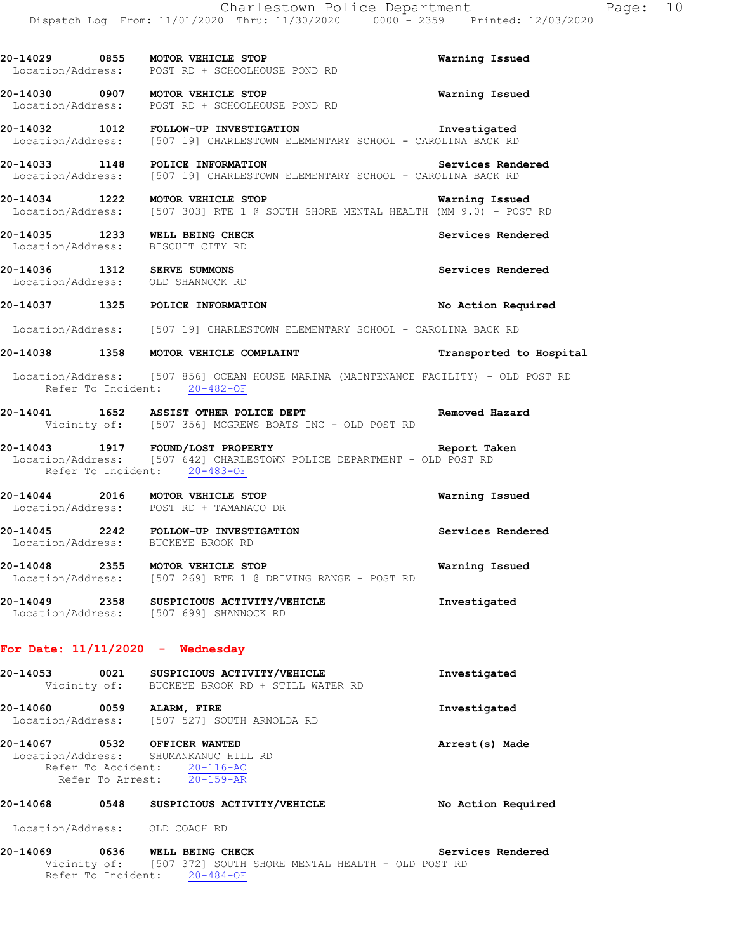|                                                                     | 20-14029 0855 MOTOR VEHICLE STOP<br>Location/Address: POST RD + SCHOOLHOUSE POND RD                                                          | Warning Issued          |
|---------------------------------------------------------------------|----------------------------------------------------------------------------------------------------------------------------------------------|-------------------------|
|                                                                     | 20-14030 0907 MOTOR VEHICLE STOP<br>Location/Address: POST RD + SCHOOLHOUSE POND RD                                                          | <b>Warning Issued</b>   |
|                                                                     | Location/Address: [507 19] CHARLESTOWN ELEMENTARY SCHOOL - CAROLINA BACK RD                                                                  |                         |
| 20-14033 1148 POLICE INFORMATION                                    | Location/Address: [507 19] CHARLESTOWN ELEMENTARY SCHOOL - CAROLINA BACK RD                                                                  | Services Rendered       |
| 20-14034 1222 MOTOR VEHICLE STOP                                    | <b>Example 21 Warning Issued</b><br>Location/Address: [507 303] RTE 1 @ SOUTH SHORE MENTAL HEALTH (MM 9.0) - POST RD                         |                         |
| 20-14035 1233 WELL BEING CHECK<br>Location/Address: BISCUIT CITY RD |                                                                                                                                              | Services Rendered       |
| 20-14036 1312 SERVE SUMMONS<br>Location/Address: OLD SHANNOCK RD    |                                                                                                                                              | Services Rendered       |
|                                                                     | 20-14037 1325 POLICE INFORMATION                                                                                                             | No Action Required      |
|                                                                     | Location/Address: [507 19] CHARLESTOWN ELEMENTARY SCHOOL - CAROLINA BACK RD                                                                  |                         |
|                                                                     | 20-14038 1358 MOTOR VEHICLE COMPLAINT                                                                                                        | Transported to Hospital |
|                                                                     | Location/Address: [507 856] OCEAN HOUSE MARINA (MAINTENANCE FACILITY) - OLD POST RD<br>Refer To Incident: 20-482-OF                          |                         |
|                                                                     | 20-14041 1652 ASSIST OTHER POLICE DEPT<br>Vicinity of: [507 356] MCGREWS BOATS INC - OLD POST RD                                             | Removed Hazard          |
|                                                                     | 20-14043 1917 FOUND/LOST PROPERTY<br>Location/Address: [507 642] CHARLESTOWN POLICE DEPARTMENT - OLD POST RD<br>Refer To Incident: 20-483-OF | Report Taken            |
|                                                                     | 20-14044 2016 MOTOR VEHICLE STOP<br>Location/Address: POST RD + TAMANACO DR                                                                  | Warning Issued          |
| Location/Address: BUCKEYE BROOK RD                                  | 20-14045 2242 FOLLOW-UP INVESTIGATION                                                                                                        | Services Rendered       |
|                                                                     | 20-14048 2355 MOTOR VEHICLE STOP<br>Location/Address: [507 269] RTE 1 @ DRIVING RANGE - POST RD                                              | Warning Issued          |
| 20-14049<br>2358<br>Location/Address:                               | SUSPICIOUS ACTIVITY/VEHICLE<br>[507 699] SHANNOCK RD                                                                                         | Investigated            |
| For Date: $11/11/2020 -$ Wednesday                                  |                                                                                                                                              |                         |
| 20-14053<br>0021<br>Vicinity of:                                    | SUSPICIOUS ACTIVITY/VEHICLE<br>BUCKEYE BROOK RD + STILL WATER RD                                                                             | Investigated            |

**20-14060 0059 ALARM, FIRE Investigated**  Location/Address: [507 527] SOUTH ARNOLDA RD

**20-14067 0532 OFFICER WANTED Arrest(s) Made**  Location/Address: SHUMANKANUC HILL RD Refer To Accident: 20-116-AC Refer To Arrest: 20-159-AR

**20-14068 0548 SUSPICIOUS ACTIVITY/VEHICLE No Action Required**  Location/Address: OLD COACH RD

**20-14069 0636 WELL BEING CHECK Services Rendered**  Vicinity of: [507 372] SOUTH SHORE MENTAL HEALTH - OLD POST RD Refer To Incident: 20-484-OF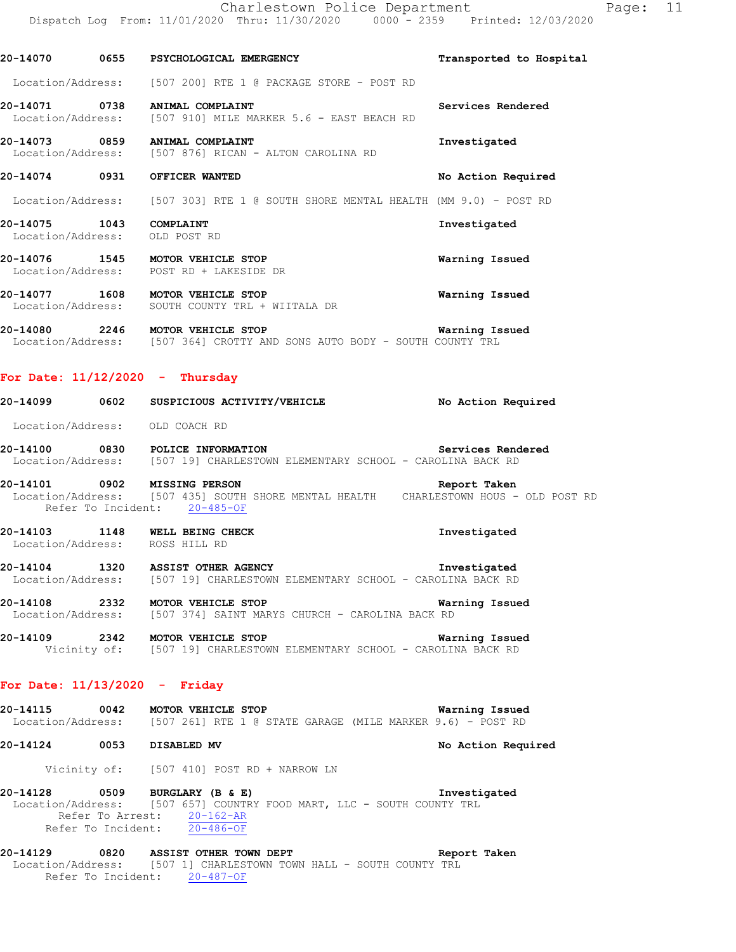**20-14070 0655 PSYCHOLOGICAL EMERGENCY Transported to Hospital**  Location/Address: [507 200] RTE 1 @ PACKAGE STORE - POST RD **20-14071 0738 ANIMAL COMPLAINT Services Rendered**  [507 910] MILE MARKER 5.6 - EAST BEACH RD **20-14073 0859 ANIMAL COMPLAINT**<br>Location/Address: [507 876] RICAN - ALTON CAROLINA RD [507 876] RICAN - ALTON CAROLINA RD **20-14074 0931 OFFICER WANTED No Action Required**  Location/Address: [507 303] RTE 1 @ SOUTH SHORE MENTAL HEALTH (MM 9.0) - POST RD **20-14075 1043 COMPLAINT Investigated**  Location/Address: OLD POST RD **20-14076 1545 MOTOR VEHICLE STOP Warning Issued**  Location/Address: POST RD + LAKESIDE DR **20-14077 1608 MOTOR VEHICLE STOP Warning Issued**  Location/Address: SOUTH COUNTY TRL + WIITALA DR **20-14080 2246 MOTOR VEHICLE STOP Warning Issued**  Location/Address: [507 364] CROTTY AND SONS AUTO BODY - SOUTH COUNTY TRL **For Date: 11/12/2020 - Thursday 20-14099 0602 SUSPICIOUS ACTIVITY/VEHICLE No Action Required**  Location/Address: OLD COACH RD **20-14100 0830 POLICE INFORMATION Services Rendered**  Location/Address: [507 19] CHARLESTOWN ELEMENTARY SCHOOL - CAROLINA BACK RD **20-14101 0902 MISSING PERSON Report Taken**  Location/Address: [507 435] SOUTH SHORE MENTAL HEALTH CHARLESTOWN HOUS - OLD POST RD Refer To Incident: 20-485-OF **20-14103 1148 WELL BEING CHECK Investigated**  Location/Address: ROSS HILL RD **20-14104 1320 ASSIST OTHER AGENCY Investigated**  Location/Address: [507 19] CHARLESTOWN ELEMENTARY SCHOOL - CAROLINA BACK RD **20-14108 2332 MOTOR VEHICLE STOP Warning Issued**  Location/Address: [507 374] SAINT MARYS CHURCH - CAROLINA BACK RD **20-14109 2342 MOTOR VEHICLE STOP Warning Issued**  Vicinity of: [507 19] CHARLESTOWN ELEMENTARY SCHOOL - CAROLINA BACK RD **For Date: 11/13/2020 - Friday 20-14115 0042 MOTOR VEHICLE STOP Warning Issued**<br>Location/Address: [507 261] RTE 1 @ STATE GARAGE (MILE MARKER 9.6) - POST RD [507 261] RTE 1 @ STATE GARAGE (MILE MARKER 9.6) - POST RD **20-14124 0053 DISABLED MV No Action Required**  Vicinity of: [507 410] POST RD + NARROW LN **20-14128 0509 BURGLARY (B & E) Investigated**  Location/Address: [507 657] COUNTRY FOOD MART, LLC - SOUTH COUNTY TRL Refer To Arrest: 20-162-AR Refer To Incident: 20-486-OF **20-14129 0820 ASSIST OTHER TOWN DEPT Report Taken** 

Location/Address: [507 1] CHARLESTOWN TOWN HALL - SOUTH COUNTY TRL Refer To Incident: 20-487-OF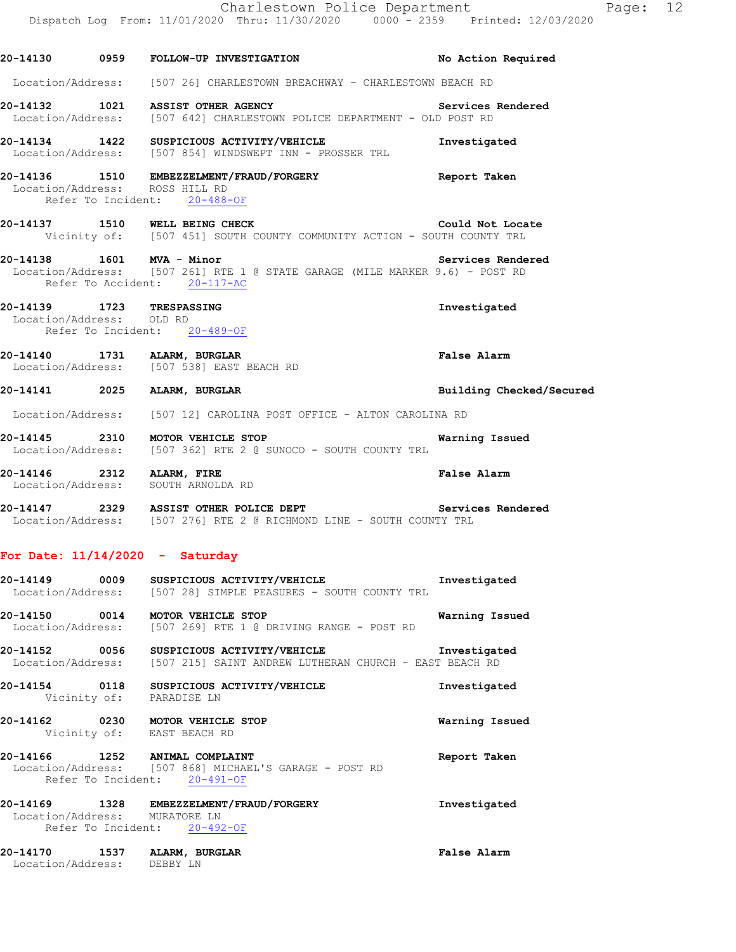|                                | Charlestown Police Department                                                                                                                                  |                          |
|--------------------------------|----------------------------------------------------------------------------------------------------------------------------------------------------------------|--------------------------|
|                                | Dispatch Log From: 11/01/2020 Thru: 11/30/2020 0000 <sup>-</sup> 2359 Printed: 12/03/2020                                                                      |                          |
|                                | 20-14130 0959 FOLLOW-UP INVESTIGATION                                                                                                                          | No Action Required       |
|                                | Location/Address: [507 26] CHARLESTOWN BREACHWAY - CHARLESTOWN BEACH RD                                                                                        |                          |
|                                | 20-14132 1021 ASSIST OTHER AGENCY<br>Services Rendered<br>Location/Address: [507 642] CHARLESTOWN POLICE DEPARTMENT - OLD POST RD                              |                          |
|                                | 20-14134 1422 SUSPICIOUS ACTIVITY/VEHICLE<br>Location/Address: [507 854] WINDSWEPT INN - PROSSER TRL                                                           | Investigated             |
| Location/Address: ROSS HILL RD | 20-14136 1510 EMBEZZELMENT/FRAUD/FORGERY<br>Refer To Incident: 20-488-OF                                                                                       | Report Taken             |
|                                | 20-14137 1510 WELL BEING CHECK COMMUNITY ACTION - SOUTH COUNTY TRL Vicinity of: [507 451] SOUTH COUNTY COMMUNITY ACTION - SOUTH COUNTY TRL                     | Could Not Locate         |
|                                | 20-14138   1601   MVA - Minor   Services Rende<br>Location/Address: [507 261] RTE 1 @ STATE GARAGE (MILE MARKER 9.6) - POST RD<br>Refer To Accident: 20-117-AC | Services Rendered        |
| Location/Address: OLD RD       | 20-14139 1723 TRESPASSING<br>Refer To Incident: 20-489-OF                                                                                                      | Investigated             |
|                                | 20-14140 1731 ALARM, BURGLAR<br>Location/Address: [507 538] EAST BEACH RD                                                                                      | False Alarm              |
|                                | 20-14141 2025 ALARM, BURGLAR                                                                                                                                   | Building Checked/Secured |
|                                | Location/Address: [507 12] CAROLINA POST OFFICE - ALTON CAROLINA RD                                                                                            |                          |
|                                | 20-14145 2310 MOTOR VEHICLE STOP<br>Location/Address: [507 362] RTE 2 @ SUNOCO - SOUTH COUNTY TRL                                                              | Warning Issued           |
| 20-14146 2312 ALARM, FIRE      | Location/Address: SOUTH ARNOLDA RD                                                                                                                             | <b>False Alarm</b>       |
|                                | 20-14147 2329 ASSIST OTHER POLICE DEPT Services Rendered<br>Location/Address: [507 276] RTE 2 @ RICHMOND LINE - SOUTH COUNTY TRL                               |                          |
|                                | For Date: $11/14/2020 -$ Saturday                                                                                                                              |                          |
|                                | 20-14149 0009 SUSPICIOUS ACTIVITY/VEHICLE<br>Location/Address: [507 28] SIMPLE PEASURES - SOUTH COUNTY TRL                                                     | Investigated             |
|                                | 20-14150 0014 MOTOR VEHICLE STOP<br>Location/Address: [507 269] RTE 1 @ DRIVING RANGE - POST RD                                                                | Warning Issued           |
|                                | 20-14152 0056 SUSPICIOUS ACTIVITY/VEHICLE<br>Location/Address: [507 215] SAINT ANDREW LUTHERAN CHURCH - EAST BEACH RD                                          | Investigated             |
|                                | 20-14154 0118 SUSPICIOUS ACTIVITY/VEHICLE<br>Vicinity of: PARADISE LN                                                                                          | Investigated             |
|                                | 20-14162 0230 MOTOR VEHICLE STOP<br>Vicinity of: EAST BEACH RD                                                                                                 | Warning Issued           |
|                                | 20-14166 1252 ANIMAL COMPLAINT<br>Location/Address: [507 868] MICHAEL'S GARAGE - POST RD<br>Refer To Incident: 20-491-OF                                       | Report Taken             |
|                                |                                                                                                                                                                |                          |

**20-14169 1328 EMBEZZELMENT/FRAUD/FORGERY Investigated**  Location/Address: MURATORE LN Refer To Incident: 20-492-OF

**20-14170 1537 ALARM, BURGLAR False Alarm**  Location/Address: DEBBY LN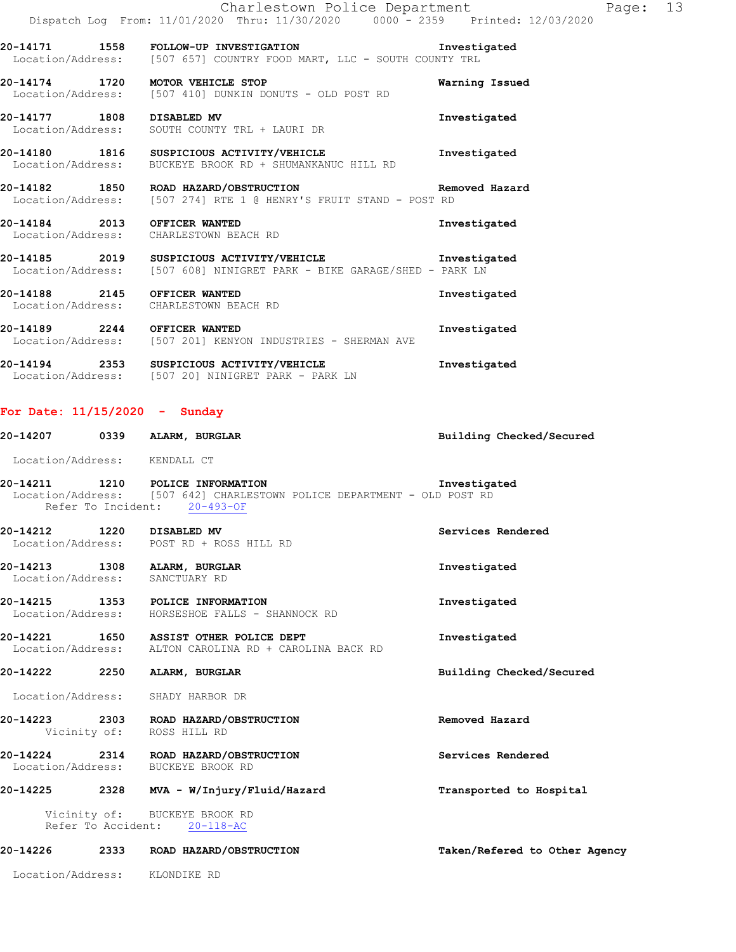|                                                                        | Charlestown Police Department<br>Dispatch Log From: 11/01/2020 Thru: 11/30/2020 0000 - 2359 Printed: 12/03/2020                      |                |
|------------------------------------------------------------------------|--------------------------------------------------------------------------------------------------------------------------------------|----------------|
|                                                                        | 20-14171 1558 FOLLOW-UP INVESTIGATION<br>Location/Address: [507 657] COUNTRY FOOD MART, LLC - SOUTH COUNTY TRL                       | Investigated   |
| 20-14174 1720 MOTOR VEHICLE STOP                                       | Location/Address: [507 410] DUNKIN DONUTS - OLD POST RD                                                                              | Warning Issued |
| 20-14177 1808 DISABLED MV                                              | Location/Address: SOUTH COUNTY TRL + LAURI DR                                                                                        | Investigated   |
|                                                                        | 20-14180 1816 SUSPICIOUS ACTIVITY/VEHICLE<br>Location/Address: BUCKEYE BROOK RD + SHUMANKANUC HILL RD                                | Investigated   |
|                                                                        | 20-14182 1850 ROAD HAZARD/OBSTRUCTION NET Removed Hazard<br>Location/Address: [507 274] RTE 1 @ HENRY'S FRUIT STAND - POST RD        |                |
| 20-14184 2013 OFFICER WANTED<br>Location/Address: CHARLESTOWN BEACH RD |                                                                                                                                      | Investigated   |
|                                                                        | 20-14185 2019 SUSPICIOUS ACTIVITY/VEHICLE The Investigated<br>Location/Address: [507 608] NINIGRET PARK - BIKE GARAGE/SHED - PARK LN |                |
| 20-14188 2145 OFFICER WANTED<br>Location/Address: CHARLESTOWN BEACH RD |                                                                                                                                      | Investigated   |

**20-14189 2244 OFFICER WANTED Investigated**  Location/Address: [507 201] KENYON INDUSTRIES - SHERMAN AVE

**20-14194 2353 SUSPICIOUS ACTIVITY/VEHICLE Investigated**  Location/Address: [507 20] NINIGRET PARK - PARK LN

## **For Date: 11/15/2020 - Sunday**

|                   | 20-14207 0339 ALARM, BURGLAR                                                                                                                | Building Checked/Secured      |
|-------------------|---------------------------------------------------------------------------------------------------------------------------------------------|-------------------------------|
|                   | Location/Address: KENDALL CT                                                                                                                |                               |
|                   | 20-14211 1210 POLICE INFORMATION<br>Location/Address: [507 642] CHARLESTOWN POLICE DEPARTMENT - OLD POST RD<br>Refer To Incident: 20-493-OF | Investigated                  |
|                   | 20-14212 1220 DISABLED MV<br>Location/Address: POST RD + ROSS HILL RD                                                                       | Services Rendered             |
|                   | 20-14213 1308 ALARM, BURGLAR<br>Location/Address: SANCTUARY RD                                                                              | Investigated                  |
|                   | 20-14215 1353 POLICE INFORMATION<br>Location/Address: HORSESHOE FALLS - SHANNOCK RD                                                         | Investigated                  |
|                   | 20-14221 1650 ASSIST OTHER POLICE DEPT<br>Location/Address: ALTON CAROLINA RD + CAROLINA BACK RD                                            | Investigated                  |
|                   | 20-14222 2250 ALARM, BURGLAR                                                                                                                | Building Checked/Secured      |
|                   | Location/Address: SHADY HARBOR DR                                                                                                           |                               |
|                   | 20-14223 2303 ROAD HAZARD/OBSTRUCTION<br>Vicinity of: ROSS HILL RD                                                                          | Removed Hazard                |
|                   | 20-14224 2314 ROAD HAZARD/OBSTRUCTION<br>Location/Address: BUCKEYE BROOK RD                                                                 | Services Rendered             |
|                   | 20-14225 2328 MVA - W/Injury/Fluid/Hazard                                                                                                   | Transported to Hospital       |
|                   | Vicinity of: BUCKEYE BROOK RD<br>Refer To Accident: 20-118-AC                                                                               |                               |
|                   | 20-14226 2333 ROAD HAZARD/OBSTRUCTION                                                                                                       | Taken/Refered to Other Agency |
| Location/Address: | KLONDIKE RD                                                                                                                                 |                               |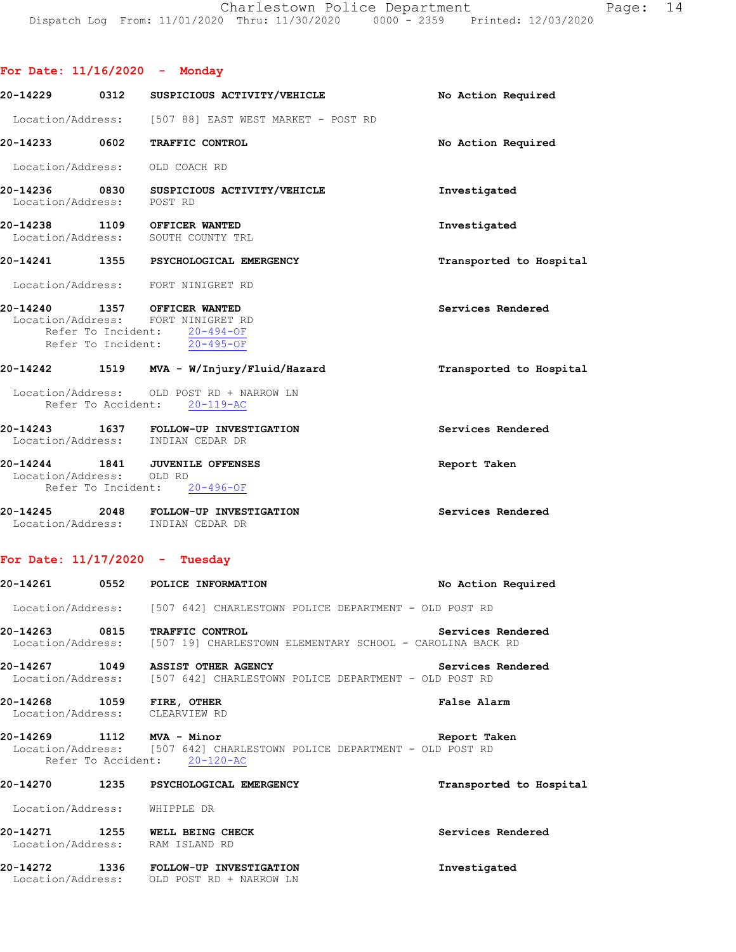|  | For Date: 11/16/2020 |  |  |  | Monday |
|--|----------------------|--|--|--|--------|
|--|----------------------|--|--|--|--------|

|                           | 20-14229 0312 SUSPICIOUS ACTIVITY/VEHICLE                                                                                                       | No Action Required      |
|---------------------------|-------------------------------------------------------------------------------------------------------------------------------------------------|-------------------------|
|                           | Location/Address: [507 88] EAST WEST MARKET - POST RD                                                                                           |                         |
| 20-14233 0602             | TRAFFIC CONTROL                                                                                                                                 | No Action Required      |
|                           | Location/Address: OLD COACH RD                                                                                                                  |                         |
| Location/Address: POST RD | 20-14236 0830 SUSPICIOUS ACTIVITY/VEHICLE                                                                                                       | Investigated            |
|                           | 20-14238 1109 OFFICER WANTED<br>Location/Address: SOUTH COUNTY TRL                                                                              | Investigated            |
|                           | 20-14241 1355 PSYCHOLOGICAL EMERGENCY                                                                                                           | Transported to Hospital |
|                           | Location/Address: FORT NINIGRET RD                                                                                                              |                         |
|                           | 20-14240 1357 OFFICER WANTED<br>Location/Address: FORT NINIGRET RD<br>Refer To Incident: 20-494-OF<br>Refer To Incident: $\overline{20-495-OF}$ | Services Rendered       |
|                           | 20-14242 1519 MVA - W/Injury/Fluid/Hazard                                                                                                       | Transported to Hospital |
|                           | Location/Address: OLD POST RD + NARROW LN<br>Refer To Accident: 20-119-AC                                                                       |                         |
|                           | 20-14243 1637 FOLLOW-UP INVESTIGATION<br>Location/Address: INDIAN CEDAR DR                                                                      | Services Rendered       |
| Location/Address: OLD RD  | 20-14244 1841 JUVENILE OFFENSES<br>Refer To Incident: 20-496-OF                                                                                 | Report Taken            |
|                           | 20-14245 2048 FOLLOW-UP INVESTIGATION<br>Location/Address: INDIAN CEDAR DR                                                                      | Services Rendered       |

## **For Date: 11/17/2020 - Tuesday**

|                              | 20-14261 0552 POLICE INFORMATION                                                                             | No Action Required      |
|------------------------------|--------------------------------------------------------------------------------------------------------------|-------------------------|
|                              | Location/Address: [507 642] CHARLESTOWN POLICE DEPARTMENT - OLD POST RD                                      |                         |
|                              | 20-14263 0815 TRAFFIC CONTROL<br>Location/Address: [507 19] CHARLESTOWN ELEMENTARY SCHOOL - CAROLINA BACK RD | Services Rendered       |
|                              | 20-14267 1049 ASSIST OTHER AGENCY<br>Location/Address: [507 642] CHARLESTOWN POLICE DEPARTMENT - OLD POST RD | Services Rendered       |
| 20-14268 1059 FIRE, OTHER    | Location/Address: CLEARVIEW RD                                                                               | False Alarm             |
| 20-14269 1112 MVA - Minor    | Location/Address: [507 642] CHARLESTOWN POLICE DEPARTMENT - OLD POST RD<br>Refer To Accident: 20-120-AC      | Report Taken            |
|                              | 20-14270 1235 PSYCHOLOGICAL EMERGENCY                                                                        | Transported to Hospital |
| Location/Address: WHIPPLE DR |                                                                                                              |                         |
|                              | 20-14271 1255 WELL BEING CHECK<br>Location/Address: RAM ISLAND RD                                            | Services Rendered       |
|                              | 20-14272 1336 FOLLOW-UP INVESTIGATION<br>Location/Address: OLD POST RD + NARROW LN                           | Investigated            |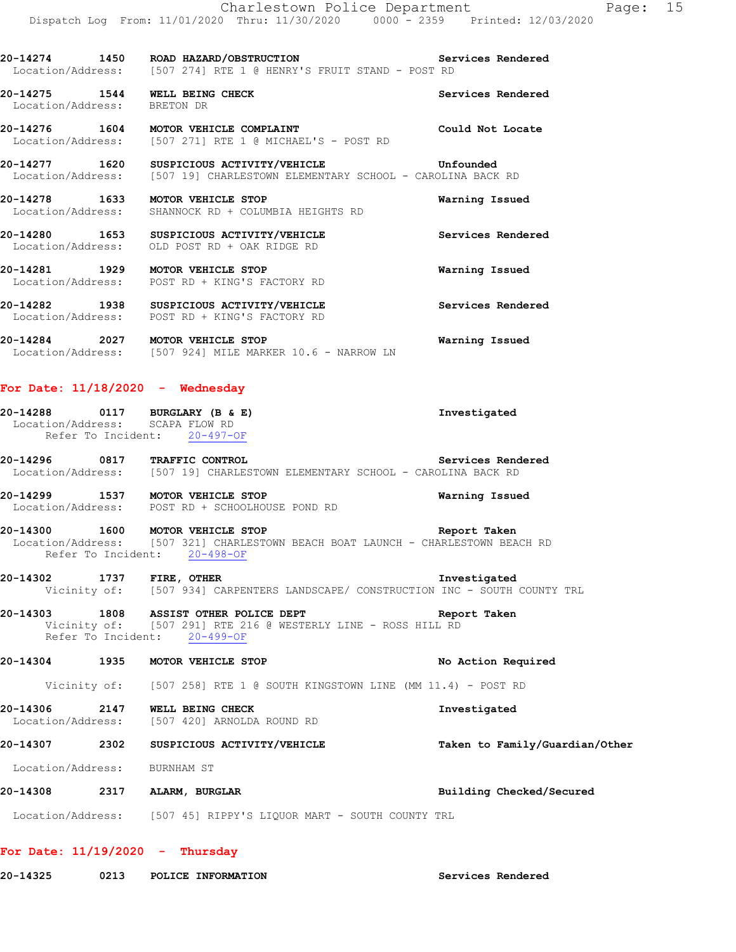Location/Address: [507 274] RTE 1 @ HENRY'S FRUIT STAND - POST RD **20-14275 1544 WELL BEING CHECK Services Rendered**  Location/Address: BRETON DR

**20-14276 1604 MOTOR VEHICLE COMPLAINT Could Not Locate**  Location/Address: [507 271] RTE 1 @ MICHAEL'S - POST RD

**20-14277 1620 SUSPICIOUS ACTIVITY/VEHICLE Unfounded**  Location/Address: [507 19] CHARLESTOWN ELEMENTARY SCHOOL - CAROLINA BACK RD

**20-14278 1633 MOTOR VEHICLE STOP Warning Issued**  Location/Address: SHANNOCK RD + COLUMBIA HEIGHTS RD

**20-14280 1653 SUSPICIOUS ACTIVITY/VEHICLE Services Rendered**  Location/Address: OLD POST RD + OAK RIDGE RD

**20-14281 1929 MOTOR VEHICLE STOP Warning Issued**  Location/Address: POST RD + KING'S FACTORY RD

**20-14282 1938 SUSPICIOUS ACTIVITY/VEHICLE Services Rendered**  Location/Address: POST RD + KING'S FACTORY RD

**20-14284 2027 MOTOR VEHICLE STOP Warning Issued**  Location/Address: [507 924] MILE MARKER 10.6 - NARROW LN

#### **For Date: 11/18/2020 - Wednesday**

| 20-14288                        | 0117 | BURGLARY (B & E) |           |  | Investigated |
|---------------------------------|------|------------------|-----------|--|--------------|
| Location/Address: SCAPA FLOW RD |      |                  |           |  |              |
| Refer To Incident:              |      |                  | 20-497-OF |  |              |

**20-14296 0817 TRAFFIC CONTROL Services Rendered**  Location/Address: [507 19] CHARLESTOWN ELEMENTARY SCHOOL - CAROLINA BACK RD

**20-14299 1537 MOTOR VEHICLE STOP Warning Issued**  Location/Address: POST RD + SCHOOLHOUSE POND RD

**20-14300 1600 MOTOR VEHICLE STOP Report Taken**  Location/Address: [507 321] CHARLESTOWN BEACH BOAT LAUNCH - CHARLESTOWN BEACH RD Refer To Incident: 20-498-OF

**20-14302 1737 FIRE, OTHER Investigated**  Vicinity of: [507 934] CARPENTERS LANDSCAPE/ CONSTRUCTION INC - SOUTH COUNTY TRL

**20-14303 1808 ASSIST OTHER POLICE DEPT Report Taken**  Vicinity of: [507 291] RTE 216 @ WESTERLY LINE - ROSS HILL RD Refer To Incident: 20-499-OF

**20-14304 1935 MOTOR VEHICLE STOP No Action Required**  Vicinity of: [507 258] RTE 1 @ SOUTH KINGSTOWN LINE (MM 11.4) - POST RD

**20-14306 2147 WELL BEING CHECK Investigated**  Location/Address: [507 420] ARNOLDA ROUND RD

**20-14307 2302 SUSPICIOUS ACTIVITY/VEHICLE Taken to Family/Guardian/Other**

Location/Address: BURNHAM ST

**20-14308 2317 ALARM, BURGLAR Building Checked/Secured** 

Location/Address: [507 45] RIPPY'S LIQUOR MART - SOUTH COUNTY TRL

```
For Date: 11/19/2020 - Thursday
```
**20-14325 0213 POLICE INFORMATION Services Rendered**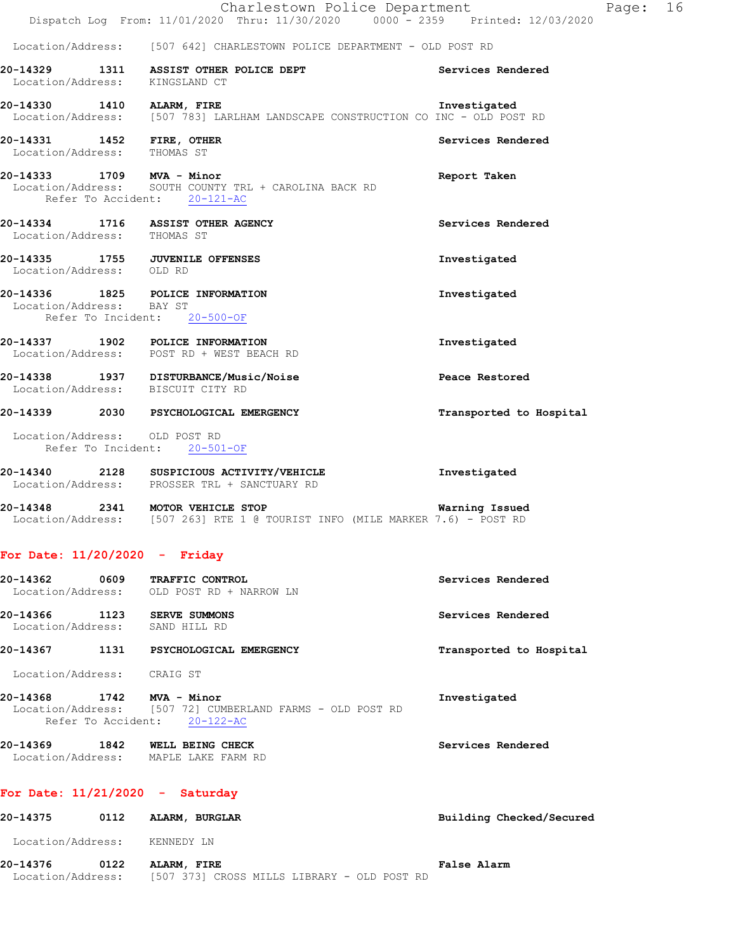|                                                                                              | Charlestown Police Department                                                         |                   | Page: 16 |  |
|----------------------------------------------------------------------------------------------|---------------------------------------------------------------------------------------|-------------------|----------|--|
|                                                                                              | Dispatch Log From: 11/01/2020 Thru: 11/30/2020 0000 - 2359 Printed: 12/03/2020        |                   |          |  |
|                                                                                              | Location/Address: [507 642] CHARLESTOWN POLICE DEPARTMENT - OLD POST RD               |                   |          |  |
| Location/Address: KINGSLAND CT                                                               | 20-14329 1311 ASSIST OTHER POLICE DEPT                                                | Services Rendered |          |  |
| 20-14330 1410 ALARM, FIRE                                                                    | Location/Address: [507 783] LARLHAM LANDSCAPE CONSTRUCTION CO INC - OLD POST RD       | Investigated      |          |  |
| 20-14331 1452 FIRE, OTHER<br>Location/Address: THOMAS ST                                     |                                                                                       | Services Rendered |          |  |
| 20-14333 1709 MVA - Minor                                                                    | Location/Address: SOUTH COUNTY TRL + CAROLINA BACK RD<br>Refer To Accident: 20-121-AC | Report Taken      |          |  |
| 20-14334 1716 ASSIST OTHER AGENCY<br>Location/Address: THOMAS ST                             |                                                                                       | Services Rendered |          |  |
| 20-14335 1755 JUVENILE OFFENSES<br>Location/Address: OLD RD                                  |                                                                                       | Investigated      |          |  |
| 20-14336 1825 POLICE INFORMATION<br>Location/Address: BAY ST<br>Refer To Incident: 20-500-OF |                                                                                       | Investigated      |          |  |
| 20-14337 1902 POLICE INFORMATION                                                             | Location/Address: POST RD + WEST BEACH RD                                             | Investigated      |          |  |
|                                                                                              | 20-14338 1937 DISTURBANCE/Music/Noise                                                 | Peace Restored    |          |  |

Location/Address: BISCUIT CITY RD

# **20-14339 2030 PSYCHOLOGICAL EMERGENCY Transported to Hospital**  Location/Address: OLD POST RD Refer To Incident: 20-501-OF

## **20-14340 2128 SUSPICIOUS ACTIVITY/VEHICLE Investigated**  Location/Address: PROSSER TRL + SANCTUARY RD

| 20-14348          | 2341 | MOTOR VEHICLE STOP |  |  |  |                                                              | Warning Issued |  |
|-------------------|------|--------------------|--|--|--|--------------------------------------------------------------|----------------|--|
| Location/Address: |      |                    |  |  |  | $[507 263]$ RTE 1 @ TOURIST INFO (MILE MARKER 7.6) - POST RD |                |  |

## **For Date: 11/20/2020 - Friday**

| 20-14362<br>Location/Address: | 0609 | <b>TRAFFIC CONTROL</b><br>OLD POST RD + NARROW LN | Services Rendered       |
|-------------------------------|------|---------------------------------------------------|-------------------------|
| 20-14366<br>Location/Address: | 1123 | SERVE SUMMONS<br>SAND HILL RD                     | Services Rendered       |
| 20-14367                      | 1131 | PSYCHOLOGICAL EMERGENCY                           | Transported to Hospital |
| Location/Address:             |      | CRAIG ST                                          |                         |

- **20-14368 1742 MVA Minor Investigated**  Location/Address: [507 72] CUMBERLAND FARMS - OLD POST RD Refer To Accident: 20-122-AC
- **20-14369 1842 WELL BEING CHECK Services Rendered**  Location/Address: MAPLE LAKE FARM RD

## **For Date: 11/21/2020 - Saturday**

| 20-14375          | 0112 | ALARM, BURGLAR                              | Building Checked/Secured |
|-------------------|------|---------------------------------------------|--------------------------|
| Location/Address: |      | KENNEDY LN                                  |                          |
| 20-14376          | 0122 | ALARM, FIRE                                 | <b>False Alarm</b>       |
| Location/Address: |      | [507 373] CROSS MILLS LIBRARY - OLD POST RD |                          |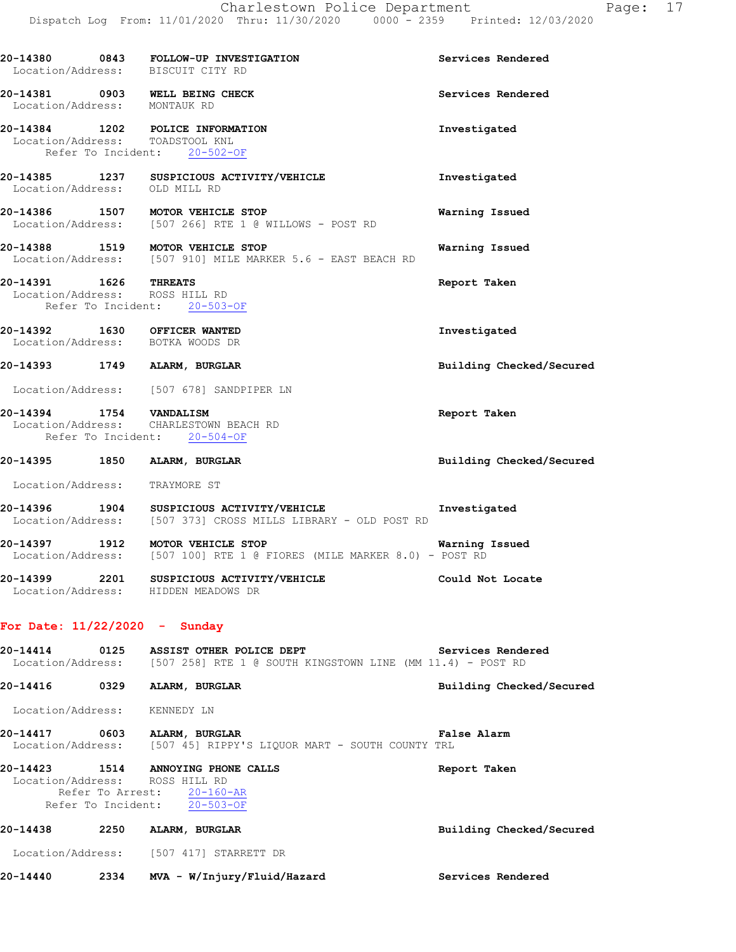| Location/Address: BISCUIT CITY RD                                                                 | 20-14380 0843 FOLLOW-UP INVESTIGATION                                                     | Services Rendered        |
|---------------------------------------------------------------------------------------------------|-------------------------------------------------------------------------------------------|--------------------------|
| 20-14381 0903 WELL BEING CHECK<br>Location/Address: MONTAUK RD                                    |                                                                                           | Services Rendered        |
| 20-14384 1202 POLICE INFORMATION<br>Location/Address: TOADSTOOL KNL                               | Refer To Incident: 20-502-OF                                                              | Investigated             |
| Location/Address: OLD MILL RD                                                                     | 20-14385 1237 SUSPICIOUS ACTIVITY/VEHICLE                                                 | Investigated             |
|                                                                                                   | 20-14386 1507 MOTOR VEHICLE STOP<br>Location/Address: [507 266] RTE 1 @ WILLOWS - POST RD | Warning Issued           |
| 20-14388 1519 MOTOR VEHICLE STOP                                                                  | Location/Address: [507 910] MILE MARKER 5.6 - EAST BEACH RD                               | Warning Issued           |
| 20-14391 1626 THREATS<br>Location/Address: ROSS HILL RD<br>Refer To Incident: 20-503-OF           |                                                                                           | Report Taken             |
| 20-14392 1630 OFFICER WANTED<br>Location/Address: BOTKA WOODS DR                                  |                                                                                           | Investigated             |
| 20-14393 1749 ALARM, BURGLAR                                                                      |                                                                                           | Building Checked/Secured |
|                                                                                                   | Location/Address: [507 678] SANDPIPER LN                                                  |                          |
| 20-14394 1754 VANDALISM<br>Location/Address: CHARLESTOWN BEACH RD<br>Refer To Incident: 20-504-OF |                                                                                           | Report Taken             |
| 20-14395 1850 ALARM, BURGLAR                                                                      |                                                                                           | Building Checked/Secured |
| Location/Address: TRAYMORE ST                                                                     |                                                                                           |                          |

**20-14396 1904 SUSPICIOUS ACTIVITY/VEHICLE Investigated**  Location/Address: [507 373] CROSS MILLS LIBRARY - OLD POST RD

**20-14397 1912 MOTOR VEHICLE STOP Warning Issued**  Location/Address: [507 100] RTE 1 @ FIORES (MILE MARKER 8.0) - POST RD **20-14399 2201 SUSPICIOUS ACTIVITY/VEHICLE Could Not Locate**  Location/Address: HIDDEN MEADOWS DR

#### **For Date: 11/22/2020 - Sunday**

**20-14414 0125 ASSIST OTHER POLICE DEPT Services Rendered**  Location/Address: [507 258] RTE 1 @ SOUTH KINGSTOWN LINE (MM 11.4) - POST RD

**20-14416 0329 ALARM, BURGLAR Building Checked/Secured**  Location/Address: KENNEDY LN **20-14417 0603 ALARM, BURGLAR False Alarm**  Location/Address: [507 45] RIPPY'S LIQUOR MART - SOUTH COUNTY TRL **20-14423 1514 ANNOYING PHONE CALLS Report Taken** 

# Location/Address: ROSS HILL RD Refer To Arrest: 20-160-AR Refer To Incident: 20-503-OF

**20-14438 2250 ALARM, BURGLAR Building Checked/Secured**  Location/Address: [507 417] STARRETT DR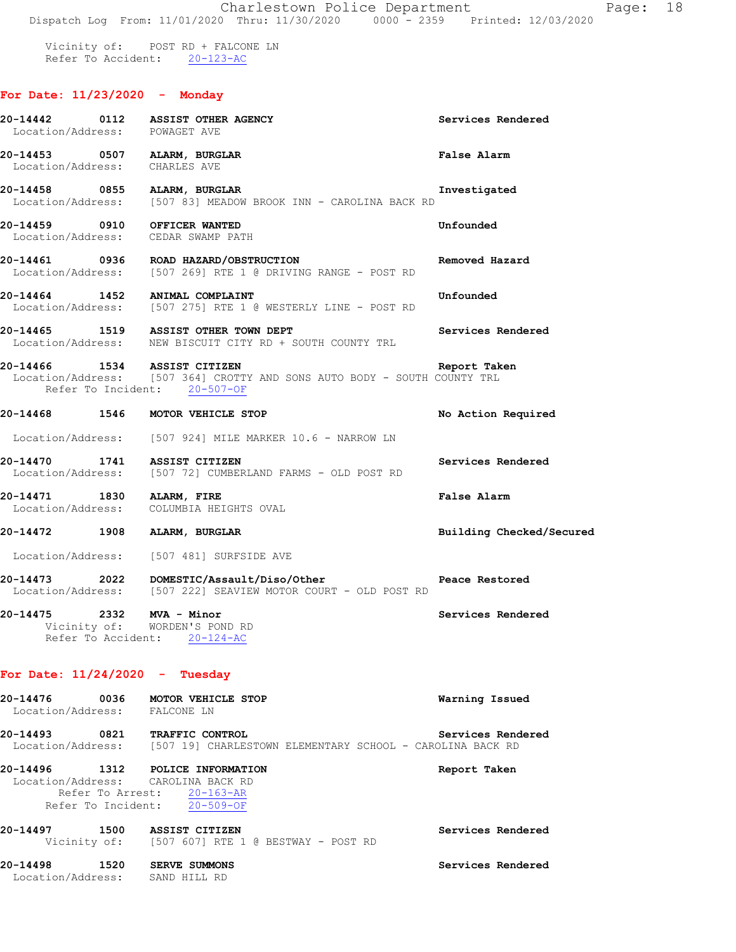Vicinity of: POST RD + FALCONE LN Refer To Accident: 20-123-AC

## **For Date: 11/23/2020 - Monday**

| Location/Address: POWAGET AVE    | 20-14442 0112 ASSIST OTHER AGENCY                                                                                                        | Services Rendered        |
|----------------------------------|------------------------------------------------------------------------------------------------------------------------------------------|--------------------------|
| Location/Address: CHARLES AVE    | 20-14453 0507 ALARM, BURGLAR                                                                                                             | <b>False Alarm</b>       |
|                                  | 20-14458 0855 ALARM, BURGLAR<br>Location/Address: [507 83] MEADOW BROOK INN - CAROLINA BACK RD                                           | Investigated             |
|                                  | 20-14459 0910 OFFICER WANTED<br>Location/Address: CEDAR SWAMP PATH                                                                       | Unfounded                |
|                                  | 20-14461 0936 ROAD HAZARD/OBSTRUCTION<br>Location/Address: [507 269] RTE 1 @ DRIVING RANGE - POST RD                                     | Removed Hazard           |
|                                  | 20-14464 1452 ANIMAL COMPLAINT<br>Location/Address: [507 275] RTE 1 @ WESTERLY LINE - POST RD                                            | Unfounded                |
|                                  | 20-14465 1519 ASSIST OTHER TOWN DEPT<br>Location/Address: NEW BISCUIT CITY RD + SOUTH COUNTY TRL                                         | Services Rendered        |
|                                  | 20-14466 1534 ASSIST CITIZEN<br>Location/Address: [507 364] CROTTY AND SONS AUTO BODY - SOUTH COUNTY TRL<br>Refer To Incident: 20-507-OF | Report Taken             |
|                                  | 20-14468 1546 MOTOR VEHICLE STOP                                                                                                         | No Action Required       |
|                                  | Location/Address: [507 924] MILE MARKER 10.6 - NARROW LN                                                                                 |                          |
|                                  | 20-14470 1741 ASSIST CITIZEN<br>Location/Address: [507 72] CUMBERLAND FARMS - OLD POST RD                                                | Services Rendered        |
| 20-14471 1830 ALARM, FIRE        | Location/Address: COLUMBIA HEIGHTS OVAL                                                                                                  | False Alarm              |
|                                  | 20-14472 1908 ALARM, BURGLAR                                                                                                             | Building Checked/Secured |
|                                  | Location/Address: [507 481] SURFSIDE AVE                                                                                                 |                          |
|                                  | 20-14473 2022 DOMESTIC/Assault/Diso/Other<br>Location/Address: [507 222] SEAVIEW MOTOR COURT - OLD POST RD                               | Peace Restored           |
| 20-14475 2332 MVA - Minor        | Vicinity of: WORDEN'S POND RD<br>Refer To Accident: 20-124-AC                                                                            | Services Rendered        |
| For Date: $11/24/2020$ - Tuesday |                                                                                                                                          |                          |
| Location/Address: FALCONE LN     | 20-14476 0036 MOTOR VEHICLE STOP                                                                                                         | Warning Issued           |
|                                  | 20-14493 0821 TRAFFIC CONTROL<br>Location/Address: [507 19] CHARLESTOWN ELEMENTARY SCHOOL - CAROLINA BACK RD                             | Services Rendered        |
|                                  | 20-14496 1312 POLICE INFORMATION<br>Location/Address: CAROLINA BACK RD<br>Refer To Arrest: 20-163-AR<br>Refer To Incident: 20-509-OF     | Report Taken             |
|                                  | 20-14497 1500 ASSIST CITIZEN<br>Vicinity of: [507 607] RTE 1 @ BESTWAY - POST RD                                                         | Services Rendered        |

**20-14498 1520 SERVE SUMMONS Services Rendered**  Location/Address: SAND HILL RD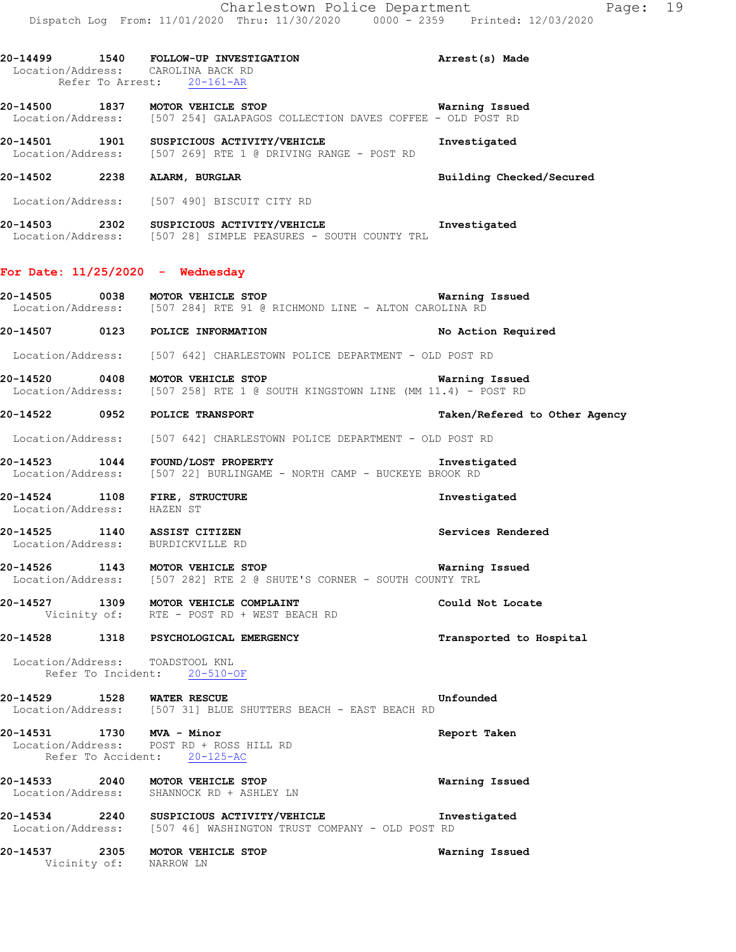**20-14499 1540 FOLLOW-UP INVESTIGATION Arrest(s) Made**  Location/Address: CAROLINA BACK RD Refer To Arrest: 20-161-AR **20-14500 1837 MOTOR VEHICLE STOP Warning Issued**  Location/Address: [507 254] GALAPAGOS COLLECTION DAVES COFFEE - OLD POST RD **20-14501 1901 SUSPICIOUS ACTIVITY/VEHICLE 1901 Rivestigated Investigated Investigated Investigated Investigated** [507 269] RTE 1 @ DRIVING RANGE - POST RD **20-14502 2238 ALARM, BURGLAR Building Checked/Secured**  Location/Address: [507 490] BISCUIT CITY RD **20-14503 2302 SUSPICIOUS ACTIVITY/VEHICLE Investigated**  Location/Address: [507 28] SIMPLE PEASURES - SOUTH COUNTY TRL **For Date: 11/25/2020 - Wednesday 20-14505 0038 MOTOR VEHICLE STOP Warning Issued**  Location/Address: [507 284] RTE 91 @ RICHMOND LINE - ALTON CAROLINA RD **20-14507 0123 POLICE INFORMATION No Action Required**  Location/Address: [507 642] CHARLESTOWN POLICE DEPARTMENT - OLD POST RD **20-14520 0408 MOTOR VEHICLE STOP Warning Issued**  Location/Address: [507 258] RTE 1 @ SOUTH KINGSTOWN LINE (MM 11.4) - POST RD **20-14522 0952 POLICE TRANSPORT Taken/Refered to Other Agency** Location/Address: [507 642] CHARLESTOWN POLICE DEPARTMENT - OLD POST RD **20-14523 1044 FOUND/LOST PROPERTY Investigated**  Location/Address: [507 22] BURLINGAME - NORTH CAMP - BUCKEYE BROOK RD **20-14524 1108 FIRE, STRUCTURE Investigated**  Location/Address: HAZEN ST **20-14525 1140 ASSIST CITIZEN Services Rendered**  Location/Address: BURDICKVILLE RD **20-14526 1143 MOTOR VEHICLE STOP Warning Issued**  Location/Address: [507 282] RTE 2 @ SHUTE'S CORNER - SOUTH COUNTY TRL **20-14527 1309 MOTOR VEHICLE COMPLAINT Could Not Locate**  Vicinity of: RTE - POST RD + WEST BEACH RD **20-14528 1318 PSYCHOLOGICAL EMERGENCY Transported to Hospital** 

 Location/Address: TOADSTOOL KNL Refer To Incident: 20-510-OF

**20-14529 1528 WATER RESCUE Unfounded**  Location/Address: [507 31] BLUE SHUTTERS BEACH - EAST BEACH RD

**20-14531 1730 MVA - Minor Report Taken**  Location/Address: POST RD + ROSS HILL RD Refer To Accident: 20-125-AC

**20-14533 2040 MOTOR VEHICLE STOP Warning Issued**  Location/Address: SHANNOCK RD + ASHLEY LN

**20-14534 2240 SUSPICIOUS ACTIVITY/VEHICLE Investigated**  Location/Address: [507 46] WASHINGTON TRUST COMPANY - OLD POST RD

**20-14537 2305 MOTOR VEHICLE STOP Warning Issued**  Vicinity of: NARROW LN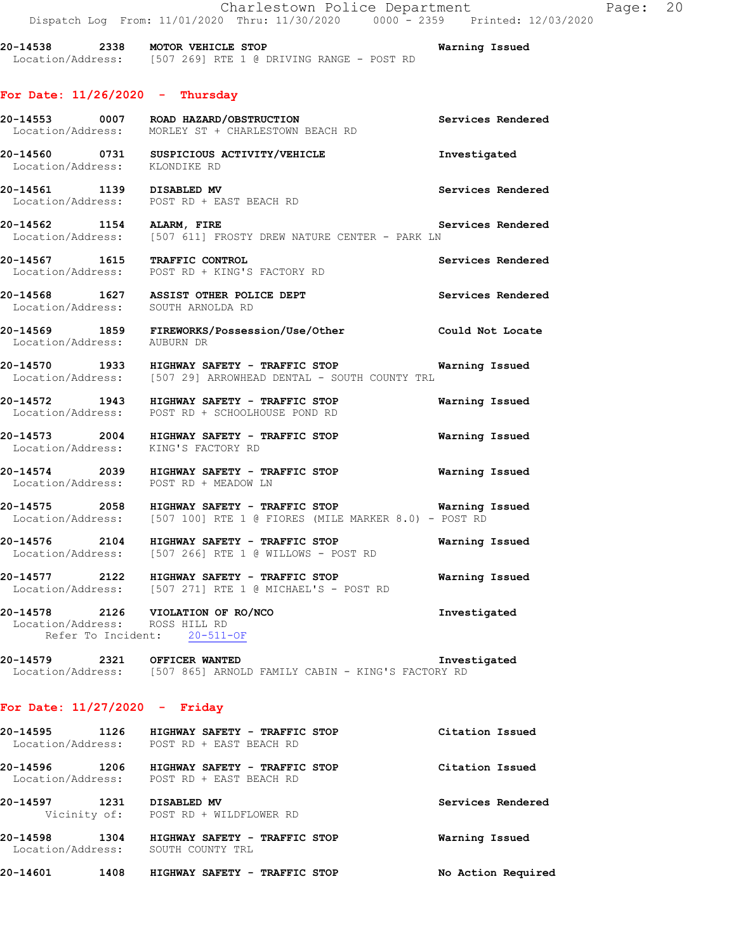**20-14538 2338 MOTOR VEHICLE STOP Warning Issued**  Location/Address: [507 269] RTE 1 @ DRIVING RANGE - POST RD

## **For Date: 11/26/2020 - Thursday**

|                                | 20-14553 0007 ROAD HAZARD/OBSTRUCTION<br>Location/Address: MORLEY ST + CHARLESTOWN BEACH RD                                          | Services Rendered        |
|--------------------------------|--------------------------------------------------------------------------------------------------------------------------------------|--------------------------|
|                                | 20-14560 0731 SUSPICIOUS ACTIVITY/VEHICLE<br>Location/Address: KLONDIKE RD                                                           | Investigated             |
|                                | 20-14561 1139 DISABLED MV<br>Location/Address: POST RD + EAST BEACH RD                                                               | Services Rendered        |
|                                | 20-14562 1154 ALARM, FIRE<br>Location/Address: [507 611] FROSTY DREW NATURE CENTER - PARK LN                                         | Services Rendered        |
|                                | 20-14567 1615 TRAFFIC CONTROL<br>Location/Address: POST RD + KING'S FACTORY RD                                                       | Services Rendered        |
|                                | 20-14568 1627 ASSIST OTHER POLICE DEPT<br>Location/Address: SOUTH ARNOLDA RD                                                         | <b>Services Rendered</b> |
| Location/Address: AUBURN DR    | 20-14569 1859 FIREWORKS/Possession/Use/Other Could Not Locate                                                                        |                          |
|                                | 20-14570 1933 HIGHWAY SAFETY - TRAFFIC STOP Warning Issued<br>Location/Address: [507 29] ARROWHEAD DENTAL - SOUTH COUNTY TRL         |                          |
|                                | 20-14572 1943 HIGHWAY SAFETY - TRAFFIC STOP<br>Location/Address: POST RD + SCHOOLHOUSE POND RD                                       | Warning Issued           |
|                                | 20-14573 2004 HIGHWAY SAFETY - TRAFFIC STOP<br>Location/Address: KING'S FACTORY RD                                                   | <b>Warning Issued</b>    |
|                                | 20-14574  2039  HIGHWAY SAFETY - TRAFFIC STOP  Warning Issued Location/Address: POST RD + MEADOW LN                                  |                          |
|                                | 20-14575 2058 HIGHWAY SAFETY - TRAFFIC STOP Warning Issued<br>Location/Address: [507 100] RTE 1 @ FIORES (MILE MARKER 8.0) - POST RD |                          |
|                                | 20-14576 2104 HIGHWAY SAFETY - TRAFFIC STOP Warning Issued<br>Location/Address: [507 266] RTE 1 @ WILLOWS - POST RD                  |                          |
|                                | 20-14577 2122 HIGHWAY SAFETY - TRAFFIC STOP<br>Location/Address: [507 271] RTE 1 @ MICHAEL'S - POST RD                               | Warning Issued           |
| Location/Address: ROSS HILL RD | 20-14578 2126 VIOLATION OF RO/NCO<br>Refer To Incident: 20-511-OF                                                                    | Investigated             |

**20-14579 2321 OFFICER WANTED Investigated**  Location/Address: [507 865] ARNOLD FAMILY CABIN - KING'S FACTORY RD

## **For Date: 11/27/2020 - Friday**

| 20-14595<br>1126                      | HIGHWAY SAFETY - TRAFFIC STOP                     | Citation Issued    |
|---------------------------------------|---------------------------------------------------|--------------------|
| Location/Address:                     | POST RD + EAST BEACH RD                           |                    |
| 20-14596<br>1206                      | HIGHWAY SAFETY - TRAFFIC STOP                     | Citation Issued    |
| Location/Address:                     | POST RD + EAST BEACH RD                           |                    |
| 20-14597<br>1231                      | DISABLED MV                                       | Services Rendered  |
|                                       | Vicinity of: POST RD + WILDFLOWER RD              |                    |
| 20-14598<br>1304<br>Location/Address: | HIGHWAY SAFETY - TRAFFIC STOP<br>SOUTH COUNTY TRL | Warning Issued     |
|                                       |                                                   |                    |
| 20-14601<br>1408                      | HIGHWAY SAFETY - TRAFFIC STOP                     | No Action Required |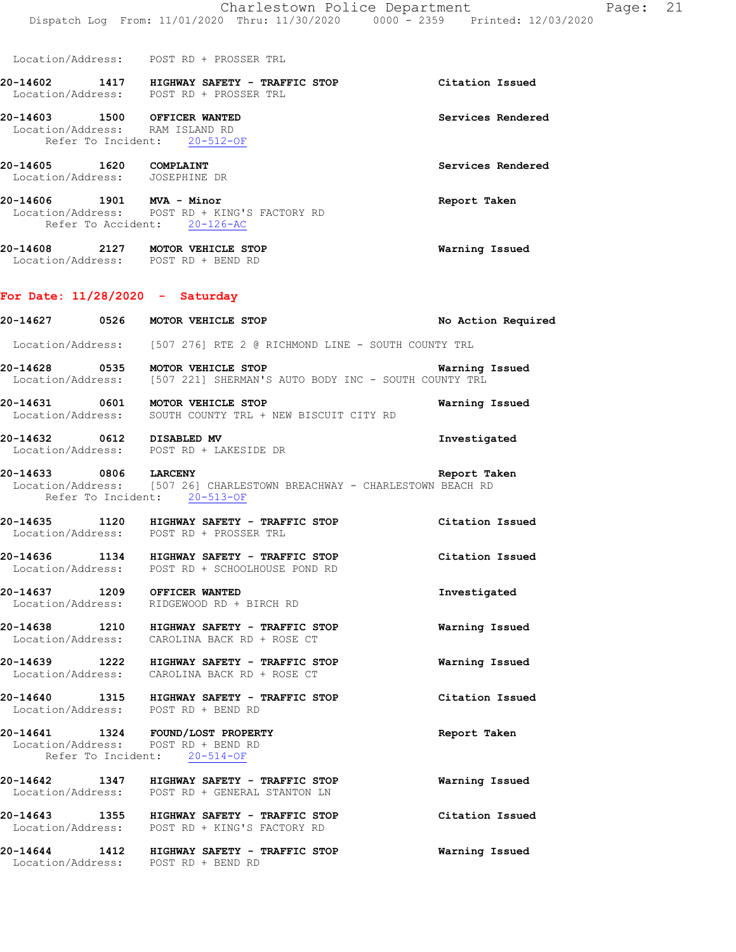Location/Address: POST RD + PROSSER TRL

**20-14602 1417 HIGHWAY SAFETY - TRAFFIC STOP Citation Issued**  Location/Address: POST RD + PROSSER TRL

**20-14603 1500 OFFICER WANTED Services Rendered**  Location/Address: RAM ISLAND RD Refer To Incident: 20-512-OF

**20-14605 1620 COMPLAINT Services Rendered**  Location/Address: JOSEPHINE DR

**20-14606 1901 MVA - Minor Report Taken**  Location/Address: POST RD + KING'S FACTORY RD Refer To Accident: 20-126-AC

**20-14608 2127 MOTOR VEHICLE STOP Warning Issued**  Location/Address: POST RD + BEND RD

#### **For Date: 11/28/2020 - Saturday**

**20-14627 0526 MOTOR VEHICLE STOP No Action Required**  Location/Address: [507 276] RTE 2 @ RICHMOND LINE - SOUTH COUNTY TRL **20-14628 0535 MOTOR VEHICLE STOP Warning Issued**  [507 221] SHERMAN'S AUTO BODY INC - SOUTH COUNTY TRL **20-14631 0601 MOTOR VEHICLE STOP Warning Issued**  Location/Address: SOUTH COUNTY TRL + NEW BISCUIT CITY RD **20-14632 0612 DISABLED MV Investigated**  Location/Address: POST RD + LAKESIDE DR **20-14633 0806 LARCENY Report Taken**  Location/Address: [507 26] CHARLESTOWN BREACHWAY - CHARLESTOWN BEACH RD Refer To Incident: 20-513-OF **20-14635 1120 HIGHWAY SAFETY - TRAFFIC STOP Citation Issued**  Location/Address: **20-14636 1134 HIGHWAY SAFETY - TRAFFIC STOP Citation Issued**  Location/Address: POST RD + SCHOOLHOUSE POND RD **20-14637 1209 OFFICER WANTED Investigated**  Location/Address: RIDGEWOOD RD + BIRCH RD **20-14638 1210 HIGHWAY SAFETY - TRAFFIC STOP Warning Issued**  Location/Address: CAROLINA BACK RD + ROSE CT **20-14639 1222 HIGHWAY SAFETY - TRAFFIC STOP Warning Issued**  Location/Address: CAROLINA BACK RD + ROSE CT **20-14640 1315 HIGHWAY SAFETY - TRAFFIC STOP Citation Issued**  Location/Address: POST RD + BEND RD **20-14641 1324 FOUND/LOST PROPERTY Report Taken**  Location/Address: POST RD + BEND RD Refer To Incident: 20-514-OF **20-14642 1347 HIGHWAY SAFETY - TRAFFIC STOP Warning Issued**  Location/Address: POST RD + GENERAL STANTON LN **20-14643 1355 HIGHWAY SAFETY - TRAFFIC STOP Citation Issued**  Location/Address: POST RD + KING'S FACTORY RD **20-14644 1412 HIGHWAY SAFETY - TRAFFIC STOP Warning Issued**  Location/Address: POST RD + BEND RD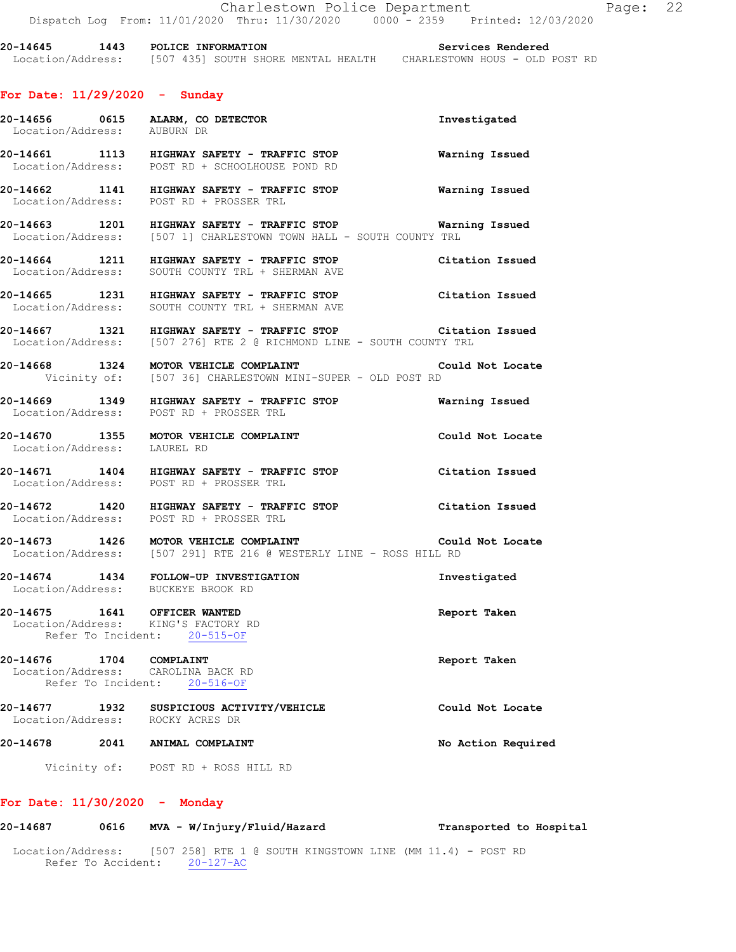**20-14645 1443 POLICE INFORMATION Services Rendered**  Location/Address: [507 435] SOUTH SHORE MENTAL HEALTH CHARLESTOWN HOUS - OLD POST RD

#### **For Date: 11/29/2020 - Sunday**

- **20-14656 0615 ALARM, CO DETECTOR Investigated**  Location/Address: AUBURN DR **20-14661 1113 HIGHWAY SAFETY - TRAFFIC STOP Warning Issued**  Location/Address: POST RD + SCHOOLHOUSE POND RD
- **20-14662 1141 HIGHWAY SAFETY TRAFFIC STOP Warning Issued**  Location/Address: POST RD + PROSSER TRL
- **20-14663 1201 HIGHWAY SAFETY TRAFFIC STOP Warning Issued**  Location/Address: [507 1] CHARLESTOWN TOWN HALL - SOUTH COUNTY TRL
- **20-14664 1211 HIGHWAY SAFETY TRAFFIC STOP Citation Issued**  Location/Address: SOUTH COUNTY TRL + SHERMAN AVE
- **20-14665 1231 HIGHWAY SAFETY TRAFFIC STOP Citation Issued**  Location/Address: SOUTH COUNTY TRL + SHERMAN AVE
- **20-14667 1321 HIGHWAY SAFETY TRAFFIC STOP Citation Issued**  Location/Address: [507 276] RTE 2 @ RICHMOND LINE - SOUTH COUNTY TRL
- **20-14668 1324 MOTOR VEHICLE COMPLAINT Could Not Locate**  Vicinity of: [507 36] CHARLESTOWN MINI-SUPER - OLD POST RD
- **20-14669 1349 HIGHWAY SAFETY TRAFFIC STOP Warning Issued**  Location/Address: POST RD + PROSSER TRL
- **20-14670 1355 MOTOR VEHICLE COMPLAINT Could Not Locate**  Location/Address: LAUREL RD
- **20-14671 1404 HIGHWAY SAFETY TRAFFIC STOP Citation Issued**  Location/Address: POST RD + PROSSER TRL
- **20-14672 1420 HIGHWAY SAFETY TRAFFIC STOP Citation Issued**  Location/Address: POST RD + PROSSER TRL
- **20-14673 1426 MOTOR VEHICLE COMPLAINT Could Not Locate**  Location/Address: [507 291] RTE 216 @ WESTERLY LINE - ROSS HILL RD
- **20-14674 1434 FOLLOW-UP INVESTIGATION Investigated**  Location/Address: BUCKEYE BROOK RD
- **20-14675 1641 OFFICER WANTED Report Taken**  Location/Address: KING'S FACTORY RD Refer To Incident: 20-515-OF
- **20-14676 1704 COMPLAINT Report Taken**  Location/Address: CAROLINA BACK RD Refer To Incident: 20-516-OF
- **20-14677 1932 SUSPICIOUS ACTIVITY/VEHICLE Could Not Locate**  Location/Address: ROCKY ACRES DR
- **20-14678 2041 ANIMAL COMPLAINT No Action Required** 
	- Vicinity of: POST RD + ROSS HILL RD

#### **For Date: 11/30/2020 - Monday**

| 20-14687          | 0616               | MVA - W/Injury/Fluid/Hazard |           |  |  |                                                                | Transported to Hospital |  |  |  |  |
|-------------------|--------------------|-----------------------------|-----------|--|--|----------------------------------------------------------------|-------------------------|--|--|--|--|
| Location/Address: | Refer To Accident: |                             | 20-127-AC |  |  | $[507 \t258]$ RTE 1 @ SOUTH KINGSTOWN LINE (MM 11.4) - POST RD |                         |  |  |  |  |